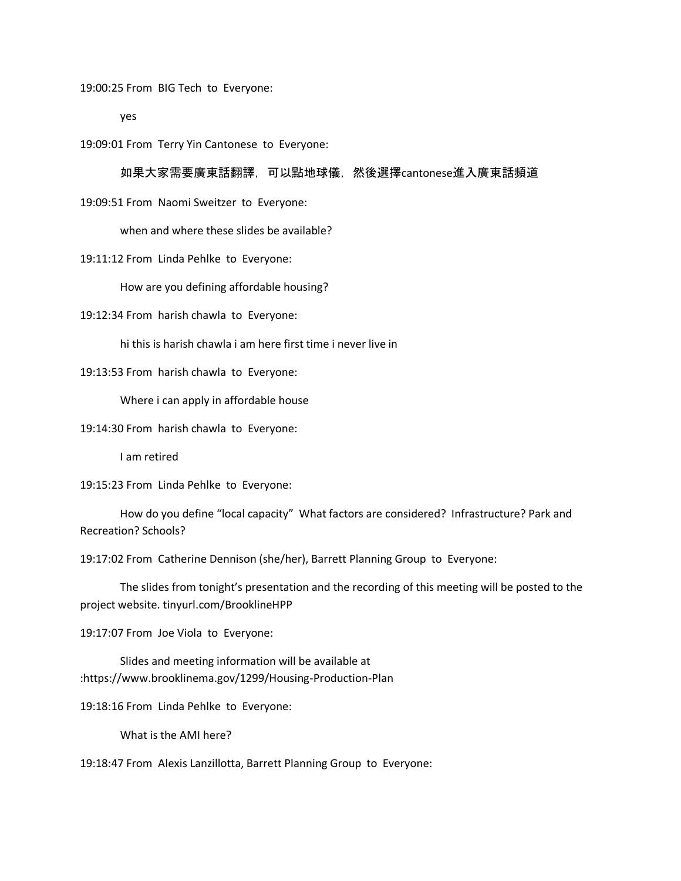19:00:25 From BIG Tech to Everyone:

yes

19:09:01 From Terry Yin Cantonese to Everyone:

# 如果大家需要廣東話翻譯,可以點地球儀,然後選擇cantonese進入廣東話頻道

19:09:51 From Naomi Sweitzer to Everyone:

when and where these slides be available?

19:11:12 From Linda Pehlke to Everyone:

How are you defining affordable housing?

19:12:34 From harish chawla to Everyone:

hi this is harish chawla i am here first time i never live in

19:13:53 From harish chawla to Everyone:

Where i can apply in affordable house

19:14:30 From harish chawla to Everyone:

I am retired

19:15:23 From Linda Pehlke to Everyone:

How do you define "local capacity" What factors are considered? Infrastructure? Park and Recreation? Schools?

19:17:02 From Catherine Dennison (she/her), Barrett Planning Group to Everyone:

The slides from tonight's presentation and the recording of this meeting will be posted to the project website. tinyurl.com/BrooklineHPP

19:17:07 From Joe Viola to Everyone:

Slides and meeting information will be available at :https://www.brooklinema.gov/1299/Housing-Production-Plan

19:18:16 From Linda Pehlke to Everyone:

What is the AMI here?

19:18:47 From Alexis Lanzillotta, Barrett Planning Group to Everyone: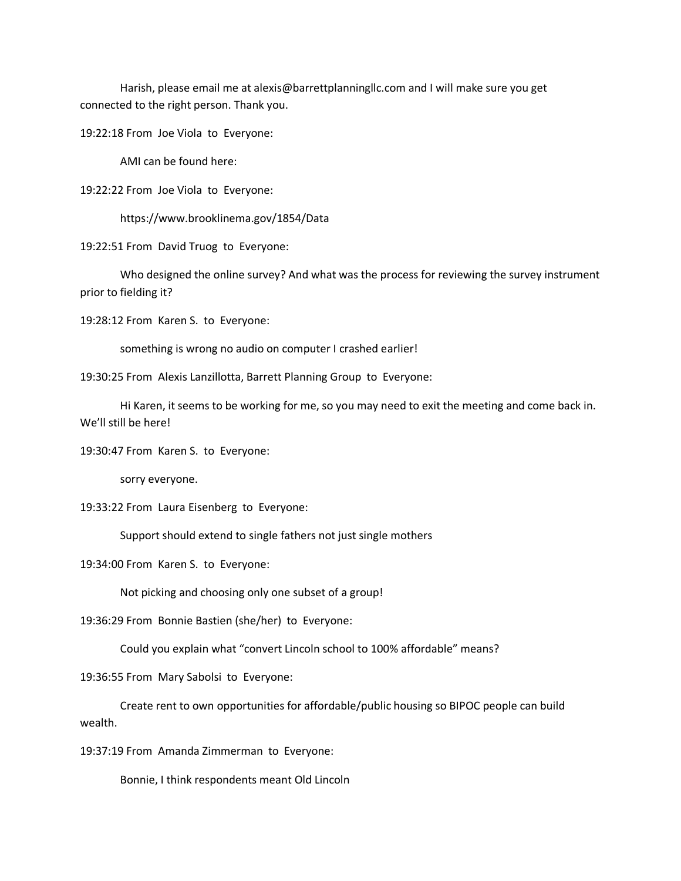Harish, please email me at alexis@barrettplanningllc.com and I will make sure you get connected to the right person. Thank you.

19:22:18 From Joe Viola to Everyone:

AMI can be found here:

19:22:22 From Joe Viola to Everyone:

https://www.brooklinema.gov/1854/Data

19:22:51 From David Truog to Everyone:

Who designed the online survey? And what was the process for reviewing the survey instrument prior to fielding it?

19:28:12 From Karen S. to Everyone:

something is wrong no audio on computer I crashed earlier!

19:30:25 From Alexis Lanzillotta, Barrett Planning Group to Everyone:

Hi Karen, it seems to be working for me, so you may need to exit the meeting and come back in. We'll still be here!

19:30:47 From Karen S. to Everyone:

sorry everyone.

19:33:22 From Laura Eisenberg to Everyone:

Support should extend to single fathers not just single mothers

19:34:00 From Karen S. to Everyone:

Not picking and choosing only one subset of a group!

19:36:29 From Bonnie Bastien (she/her) to Everyone:

Could you explain what "convert Lincoln school to 100% affordable" means?

19:36:55 From Mary Sabolsi to Everyone:

Create rent to own opportunities for affordable/public housing so BIPOC people can build wealth.

19:37:19 From Amanda Zimmerman to Everyone:

Bonnie, I think respondents meant Old Lincoln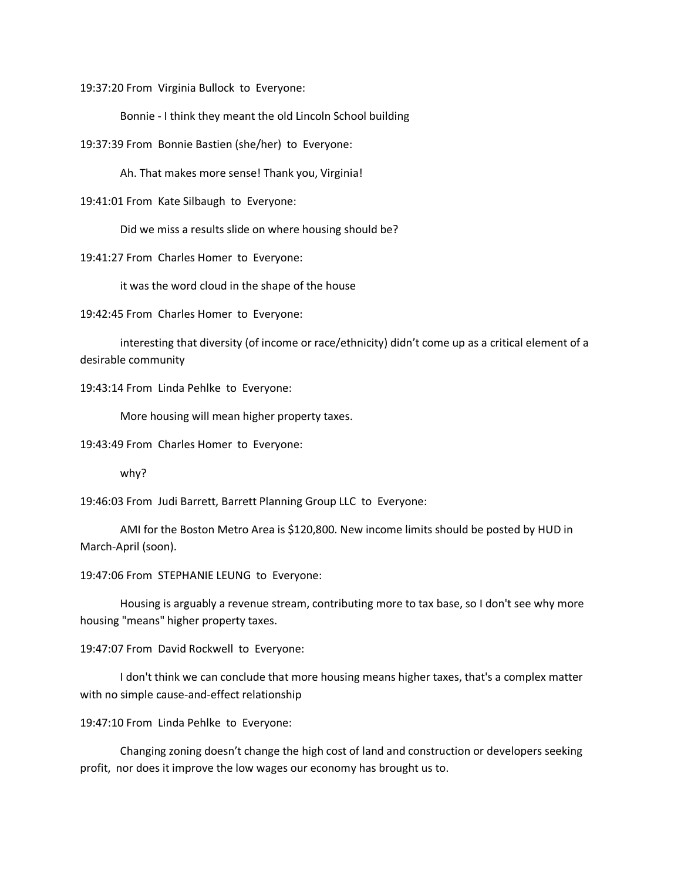19:37:20 From Virginia Bullock to Everyone:

Bonnie - I think they meant the old Lincoln School building

19:37:39 From Bonnie Bastien (she/her) to Everyone:

Ah. That makes more sense! Thank you, Virginia!

19:41:01 From Kate Silbaugh to Everyone:

Did we miss a results slide on where housing should be?

19:41:27 From Charles Homer to Everyone:

it was the word cloud in the shape of the house

19:42:45 From Charles Homer to Everyone:

interesting that diversity (of income or race/ethnicity) didn't come up as a critical element of a desirable community

19:43:14 From Linda Pehlke to Everyone:

More housing will mean higher property taxes.

19:43:49 From Charles Homer to Everyone:

why?

19:46:03 From Judi Barrett, Barrett Planning Group LLC to Everyone:

AMI for the Boston Metro Area is \$120,800. New income limits should be posted by HUD in March-April (soon).

19:47:06 From STEPHANIE LEUNG to Everyone:

Housing is arguably a revenue stream, contributing more to tax base, so I don't see why more housing "means" higher property taxes.

19:47:07 From David Rockwell to Everyone:

I don't think we can conclude that more housing means higher taxes, that's a complex matter with no simple cause-and-effect relationship

19:47:10 From Linda Pehlke to Everyone:

Changing zoning doesn't change the high cost of land and construction or developers seeking profit, nor does it improve the low wages our economy has brought us to.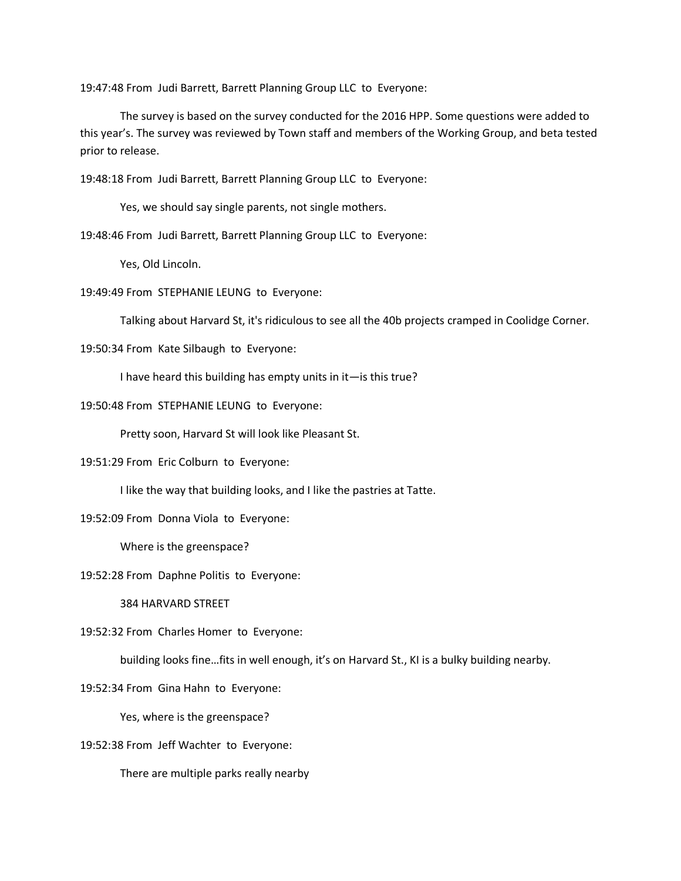19:47:48 From Judi Barrett, Barrett Planning Group LLC to Everyone:

The survey is based on the survey conducted for the 2016 HPP. Some questions were added to this year's. The survey was reviewed by Town staff and members of the Working Group, and beta tested prior to release.

19:48:18 From Judi Barrett, Barrett Planning Group LLC to Everyone:

Yes, we should say single parents, not single mothers.

19:48:46 From Judi Barrett, Barrett Planning Group LLC to Everyone:

Yes, Old Lincoln.

19:49:49 From STEPHANIE LEUNG to Everyone:

Talking about Harvard St, it's ridiculous to see all the 40b projects cramped in Coolidge Corner.

19:50:34 From Kate Silbaugh to Everyone:

I have heard this building has empty units in it—is this true?

19:50:48 From STEPHANIE LEUNG to Everyone:

Pretty soon, Harvard St will look like Pleasant St.

19:51:29 From Eric Colburn to Everyone:

I like the way that building looks, and I like the pastries at Tatte.

19:52:09 From Donna Viola to Everyone:

Where is the greenspace?

19:52:28 From Daphne Politis to Everyone:

384 HARVARD STREET

19:52:32 From Charles Homer to Everyone:

building looks fine…fits in well enough, it's on Harvard St., KI is a bulky building nearby.

19:52:34 From Gina Hahn to Everyone:

Yes, where is the greenspace?

19:52:38 From Jeff Wachter to Everyone:

There are multiple parks really nearby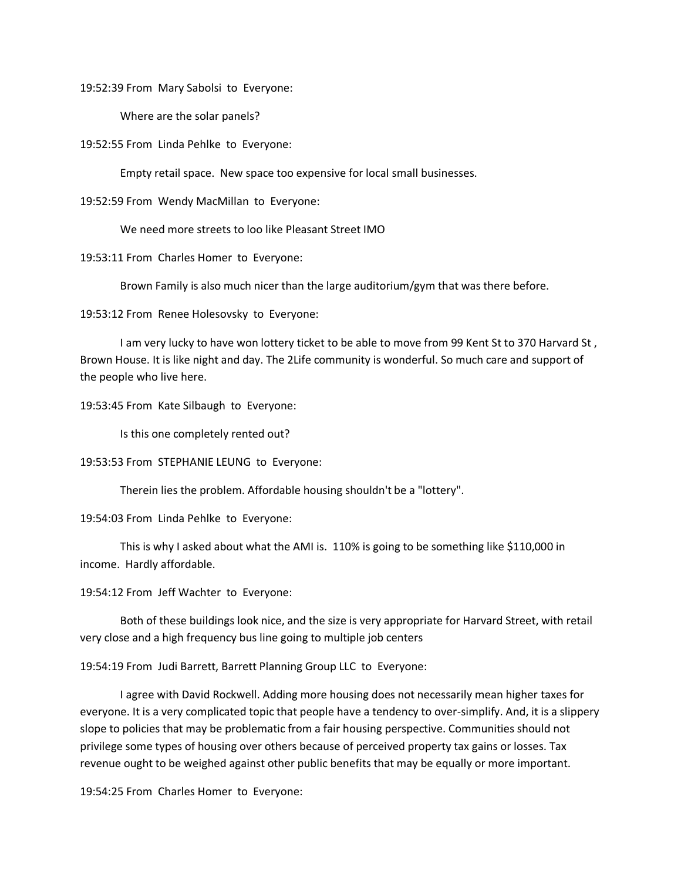19:52:39 From Mary Sabolsi to Everyone:

Where are the solar panels?

19:52:55 From Linda Pehlke to Everyone:

Empty retail space. New space too expensive for local small businesses.

19:52:59 From Wendy MacMillan to Everyone:

We need more streets to loo like Pleasant Street IMO

19:53:11 From Charles Homer to Everyone:

Brown Family is also much nicer than the large auditorium/gym that was there before.

19:53:12 From Renee Holesovsky to Everyone:

I am very lucky to have won lottery ticket to be able to move from 99 Kent St to 370 Harvard St, Brown House. It is like night and day. The 2Life community is wonderful. So much care and support of the people who live here.

19:53:45 From Kate Silbaugh to Everyone:

Is this one completely rented out?

19:53:53 From STEPHANIE LEUNG to Everyone:

Therein lies the problem. Affordable housing shouldn't be a "lottery".

19:54:03 From Linda Pehlke to Everyone:

This is why I asked about what the AMI is. 110% is going to be something like \$110,000 in income. Hardly affordable.

19:54:12 From Jeff Wachter to Everyone:

Both of these buildings look nice, and the size is very appropriate for Harvard Street, with retail very close and a high frequency bus line going to multiple job centers

19:54:19 From Judi Barrett, Barrett Planning Group LLC to Everyone:

I agree with David Rockwell. Adding more housing does not necessarily mean higher taxes for everyone. It is a very complicated topic that people have a tendency to over-simplify. And, it is a slippery slope to policies that may be problematic from a fair housing perspective. Communities should not privilege some types of housing over others because of perceived property tax gains or losses. Tax revenue ought to be weighed against other public benefits that may be equally or more important.

19:54:25 From Charles Homer to Everyone: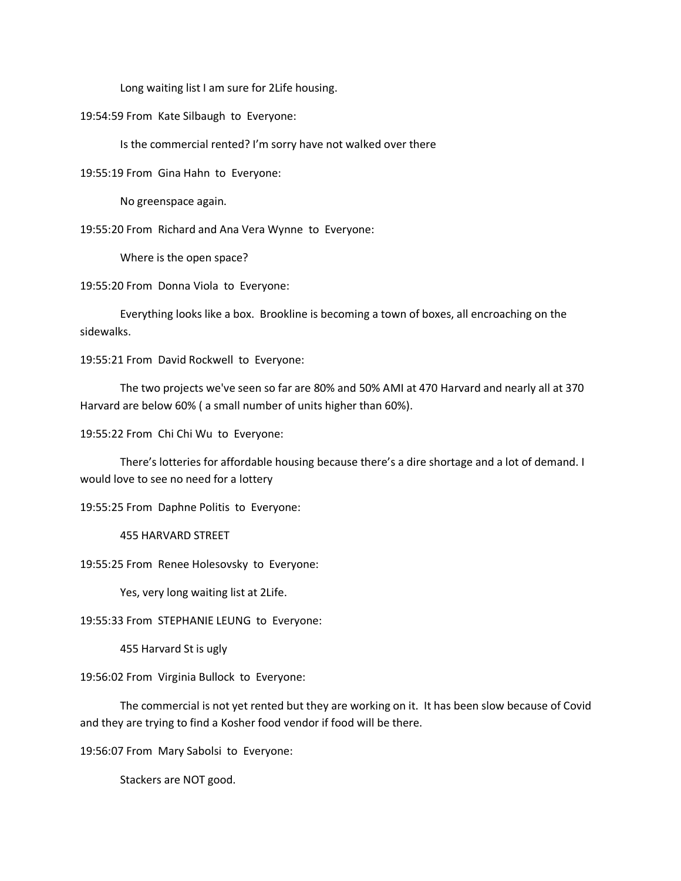Long waiting list I am sure for 2Life housing.

19:54:59 From Kate Silbaugh to Everyone:

Is the commercial rented? I'm sorry have not walked over there

19:55:19 From Gina Hahn to Everyone:

No greenspace again.

19:55:20 From Richard and Ana Vera Wynne to Everyone:

Where is the open space?

19:55:20 From Donna Viola to Everyone:

Everything looks like a box. Brookline is becoming a town of boxes, all encroaching on the sidewalks.

19:55:21 From David Rockwell to Everyone:

The two projects we've seen so far are 80% and 50% AMI at 470 Harvard and nearly all at 370 Harvard are below 60% ( a small number of units higher than 60%).

19:55:22 From Chi Chi Wu to Everyone:

There's lotteries for affordable housing because there's a dire shortage and a lot of demand. I would love to see no need for a lottery

19:55:25 From Daphne Politis to Everyone:

455 HARVARD STREET

19:55:25 From Renee Holesovsky to Everyone:

Yes, very long waiting list at 2Life.

19:55:33 From STEPHANIE LEUNG to Everyone:

455 Harvard St is ugly

19:56:02 From Virginia Bullock to Everyone:

The commercial is not yet rented but they are working on it. It has been slow because of Covid and they are trying to find a Kosher food vendor if food will be there.

19:56:07 From Mary Sabolsi to Everyone:

Stackers are NOT good.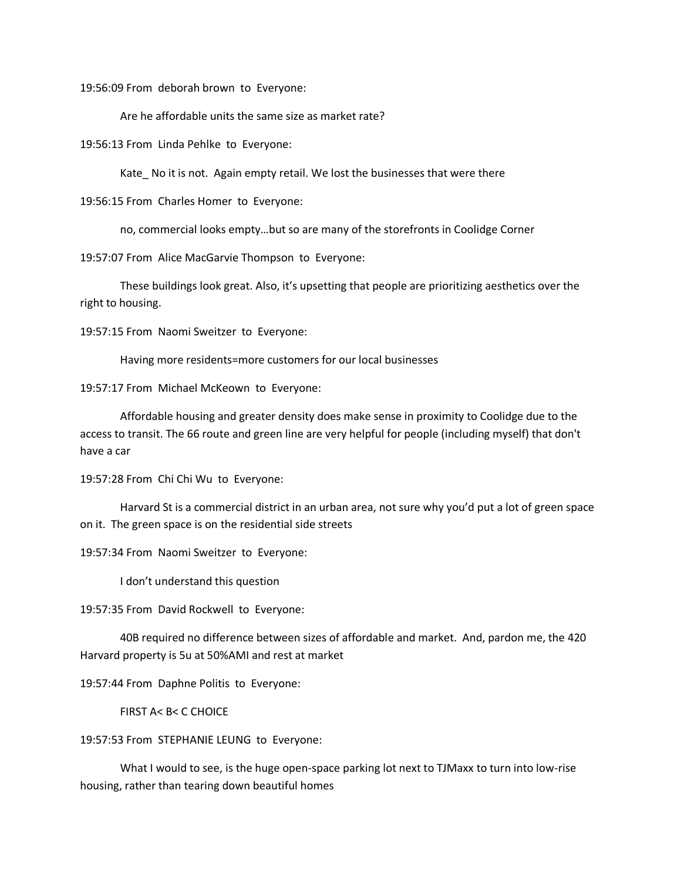19:56:09 From deborah brown to Everyone:

Are he affordable units the same size as market rate?

19:56:13 From Linda Pehlke to Everyone:

Kate No it is not. Again empty retail. We lost the businesses that were there

19:56:15 From Charles Homer to Everyone:

no, commercial looks empty…but so are many of the storefronts in Coolidge Corner

19:57:07 From Alice MacGarvie Thompson to Everyone:

These buildings look great. Also, it's upsetting that people are prioritizing aesthetics over the right to housing.

19:57:15 From Naomi Sweitzer to Everyone:

Having more residents=more customers for our local businesses

19:57:17 From Michael McKeown to Everyone:

Affordable housing and greater density does make sense in proximity to Coolidge due to the access to transit. The 66 route and green line are very helpful for people (including myself) that don't have a car

19:57:28 From Chi Chi Wu to Everyone:

Harvard St is a commercial district in an urban area, not sure why you'd put a lot of green space on it. The green space is on the residential side streets

19:57:34 From Naomi Sweitzer to Everyone:

I don't understand this question

19:57:35 From David Rockwell to Everyone:

40B required no difference between sizes of affordable and market. And, pardon me, the 420 Harvard property is 5u at 50%AMI and rest at market

19:57:44 From Daphne Politis to Everyone:

FIRST A< B< C CHOICE

19:57:53 From STEPHANIE LEUNG to Everyone:

What I would to see, is the huge open-space parking lot next to TJMaxx to turn into low-rise housing, rather than tearing down beautiful homes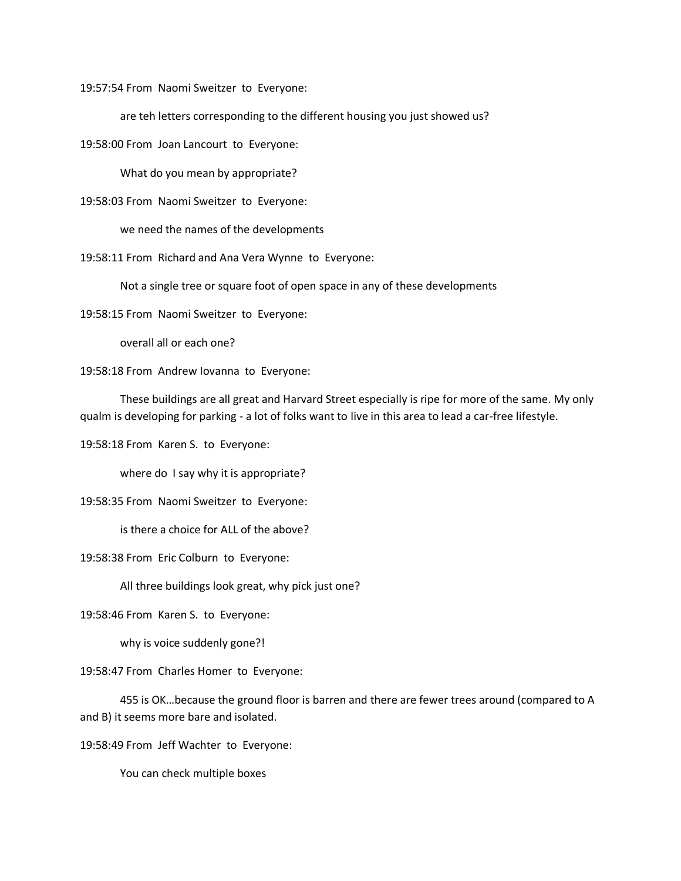19:57:54 From Naomi Sweitzer to Everyone:

are teh letters corresponding to the different housing you just showed us?

19:58:00 From Joan Lancourt to Everyone:

What do you mean by appropriate?

19:58:03 From Naomi Sweitzer to Everyone:

we need the names of the developments

19:58:11 From Richard and Ana Vera Wynne to Everyone:

Not a single tree or square foot of open space in any of these developments

19:58:15 From Naomi Sweitzer to Everyone:

overall all or each one?

19:58:18 From Andrew Iovanna to Everyone:

These buildings are all great and Harvard Street especially is ripe for more of the same. My only qualm is developing for parking - a lot of folks want to live in this area to lead a car-free lifestyle.

19:58:18 From Karen S. to Everyone:

where do I say why it is appropriate?

19:58:35 From Naomi Sweitzer to Everyone:

is there a choice for ALL of the above?

19:58:38 From Eric Colburn to Everyone:

All three buildings look great, why pick just one?

19:58:46 From Karen S. to Everyone:

why is voice suddenly gone?!

19:58:47 From Charles Homer to Everyone:

455 is OK…because the ground floor is barren and there are fewer trees around (compared to A and B) it seems more bare and isolated.

19:58:49 From Jeff Wachter to Everyone:

You can check multiple boxes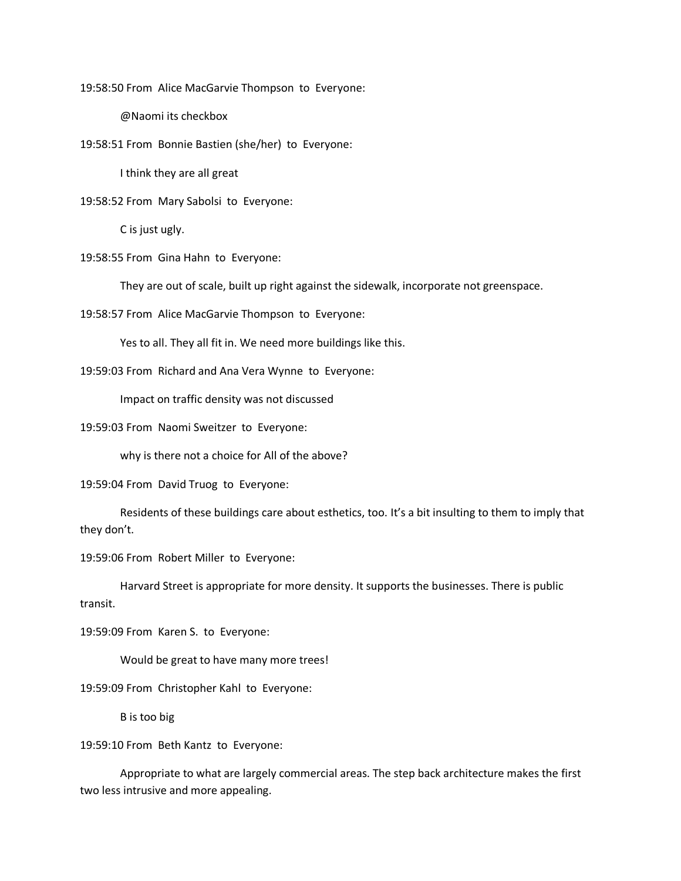19:58:50 From Alice MacGarvie Thompson to Everyone:

@Naomi its checkbox

19:58:51 From Bonnie Bastien (she/her) to Everyone:

I think they are all great

19:58:52 From Mary Sabolsi to Everyone:

C is just ugly.

19:58:55 From Gina Hahn to Everyone:

They are out of scale, built up right against the sidewalk, incorporate not greenspace.

19:58:57 From Alice MacGarvie Thompson to Everyone:

Yes to all. They all fit in. We need more buildings like this.

19:59:03 From Richard and Ana Vera Wynne to Everyone:

Impact on traffic density was not discussed

19:59:03 From Naomi Sweitzer to Everyone:

why is there not a choice for All of the above?

19:59:04 From David Truog to Everyone:

Residents of these buildings care about esthetics, too. It's a bit insulting to them to imply that they don't.

19:59:06 From Robert Miller to Everyone:

Harvard Street is appropriate for more density. It supports the businesses. There is public transit.

19:59:09 From Karen S. to Everyone:

Would be great to have many more trees!

19:59:09 From Christopher Kahl to Everyone:

B is too big

19:59:10 From Beth Kantz to Everyone:

Appropriate to what are largely commercial areas. The step back architecture makes the first two less intrusive and more appealing.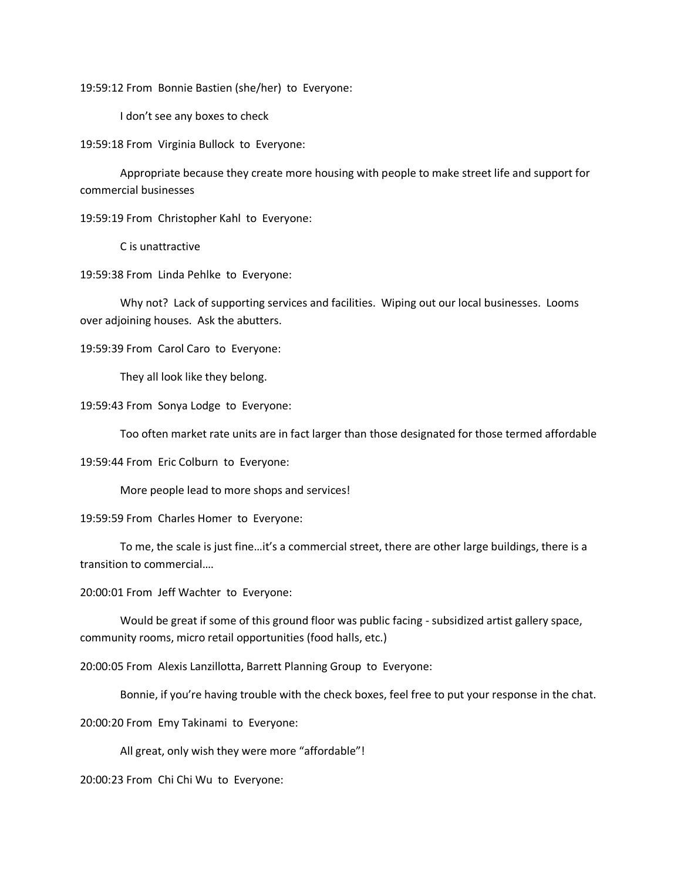19:59:12 From Bonnie Bastien (she/her) to Everyone:

I don't see any boxes to check

19:59:18 From Virginia Bullock to Everyone:

Appropriate because they create more housing with people to make street life and support for commercial businesses

19:59:19 From Christopher Kahl to Everyone:

C is unattractive

19:59:38 From Linda Pehlke to Everyone:

Why not? Lack of supporting services and facilities. Wiping out our local businesses. Looms over adjoining houses. Ask the abutters.

19:59:39 From Carol Caro to Everyone:

They all look like they belong.

19:59:43 From Sonya Lodge to Everyone:

Too often market rate units are in fact larger than those designated for those termed affordable

19:59:44 From Eric Colburn to Everyone:

More people lead to more shops and services!

19:59:59 From Charles Homer to Everyone:

To me, the scale is just fine…it's a commercial street, there are other large buildings, there is a transition to commercial….

20:00:01 From Jeff Wachter to Everyone:

Would be great if some of this ground floor was public facing - subsidized artist gallery space, community rooms, micro retail opportunities (food halls, etc.)

20:00:05 From Alexis Lanzillotta, Barrett Planning Group to Everyone:

Bonnie, if you're having trouble with the check boxes, feel free to put your response in the chat.

20:00:20 From Emy Takinami to Everyone:

All great, only wish they were more "affordable"!

20:00:23 From Chi Chi Wu to Everyone: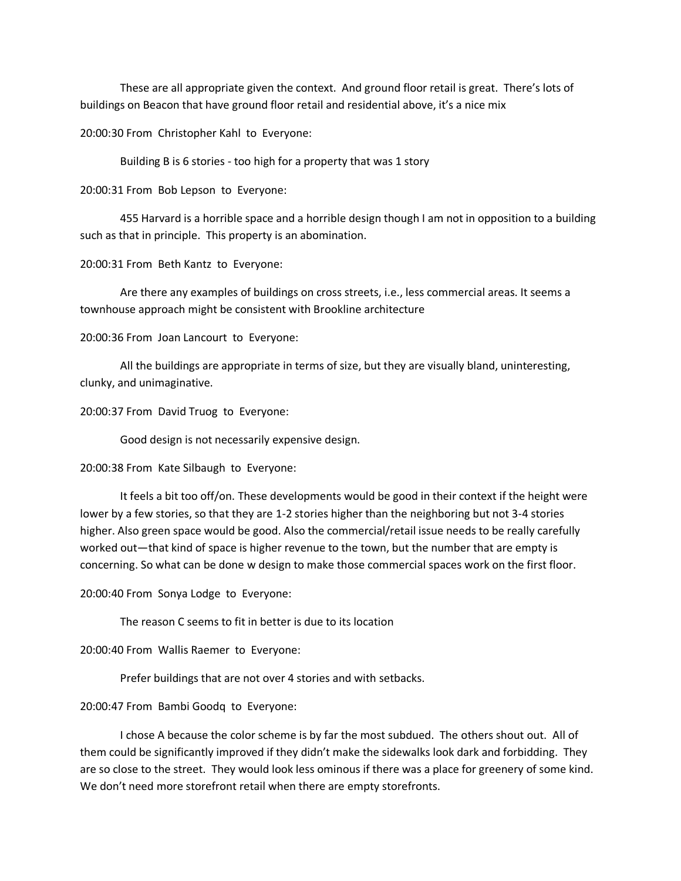These are all appropriate given the context. And ground floor retail is great. There's lots of buildings on Beacon that have ground floor retail and residential above, it's a nice mix

20:00:30 From Christopher Kahl to Everyone:

Building B is 6 stories - too high for a property that was 1 story

20:00:31 From Bob Lepson to Everyone:

455 Harvard is a horrible space and a horrible design though I am not in opposition to a building such as that in principle. This property is an abomination.

20:00:31 From Beth Kantz to Everyone:

Are there any examples of buildings on cross streets, i.e., less commercial areas. It seems a townhouse approach might be consistent with Brookline architecture

20:00:36 From Joan Lancourt to Everyone:

All the buildings are appropriate in terms of size, but they are visually bland, uninteresting, clunky, and unimaginative.

20:00:37 From David Truog to Everyone:

Good design is not necessarily expensive design.

20:00:38 From Kate Silbaugh to Everyone:

It feels a bit too off/on. These developments would be good in their context if the height were lower by a few stories, so that they are 1-2 stories higher than the neighboring but not 3-4 stories higher. Also green space would be good. Also the commercial/retail issue needs to be really carefully worked out—that kind of space is higher revenue to the town, but the number that are empty is concerning. So what can be done w design to make those commercial spaces work on the first floor.

20:00:40 From Sonya Lodge to Everyone:

The reason C seems to fit in better is due to its location

20:00:40 From Wallis Raemer to Everyone:

Prefer buildings that are not over 4 stories and with setbacks.

20:00:47 From Bambi Goodq to Everyone:

I chose A because the color scheme is by far the most subdued. The others shout out. All of them could be significantly improved if they didn't make the sidewalks look dark and forbidding. They are so close to the street. They would look less ominous if there was a place for greenery of some kind. We don't need more storefront retail when there are empty storefronts.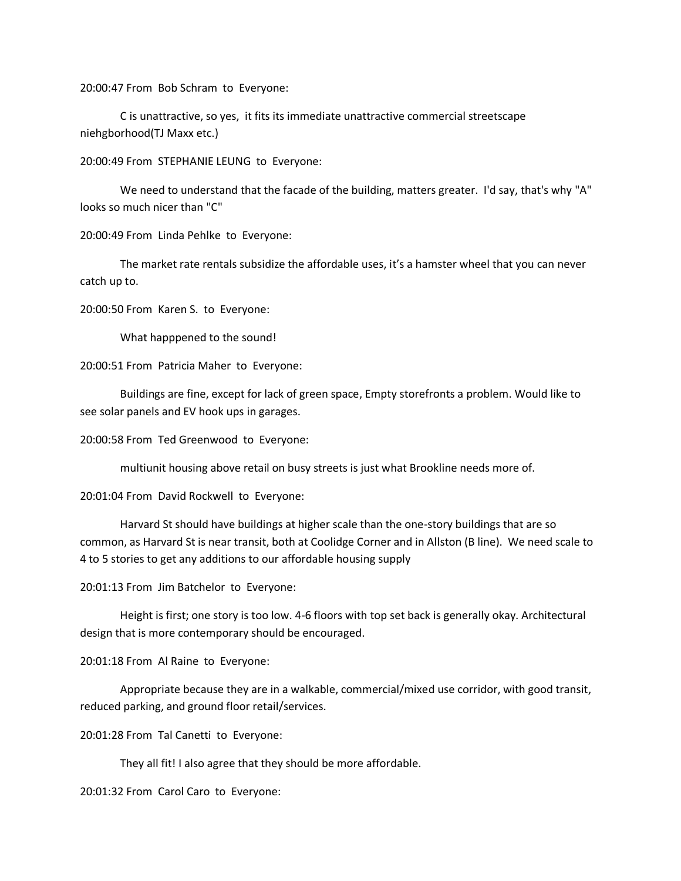20:00:47 From Bob Schram to Everyone:

C is unattractive, so yes, it fits its immediate unattractive commercial streetscape niehgborhood(TJ Maxx etc.)

20:00:49 From STEPHANIE LEUNG to Everyone:

We need to understand that the facade of the building, matters greater. I'd say, that's why "A" looks so much nicer than "C"

20:00:49 From Linda Pehlke to Everyone:

The market rate rentals subsidize the affordable uses, it's a hamster wheel that you can never catch up to.

20:00:50 From Karen S. to Everyone:

What happpened to the sound!

20:00:51 From Patricia Maher to Everyone:

Buildings are fine, except for lack of green space, Empty storefronts a problem. Would like to see solar panels and EV hook ups in garages.

20:00:58 From Ted Greenwood to Everyone:

multiunit housing above retail on busy streets is just what Brookline needs more of.

20:01:04 From David Rockwell to Everyone:

Harvard St should have buildings at higher scale than the one-story buildings that are so common, as Harvard St is near transit, both at Coolidge Corner and in Allston (B line). We need scale to 4 to 5 stories to get any additions to our affordable housing supply

20:01:13 From Jim Batchelor to Everyone:

Height is first; one story is too low. 4-6 floors with top set back is generally okay. Architectural design that is more contemporary should be encouraged.

20:01:18 From Al Raine to Everyone:

Appropriate because they are in a walkable, commercial/mixed use corridor, with good transit, reduced parking, and ground floor retail/services.

20:01:28 From Tal Canetti to Everyone:

They all fit! I also agree that they should be more affordable.

20:01:32 From Carol Caro to Everyone: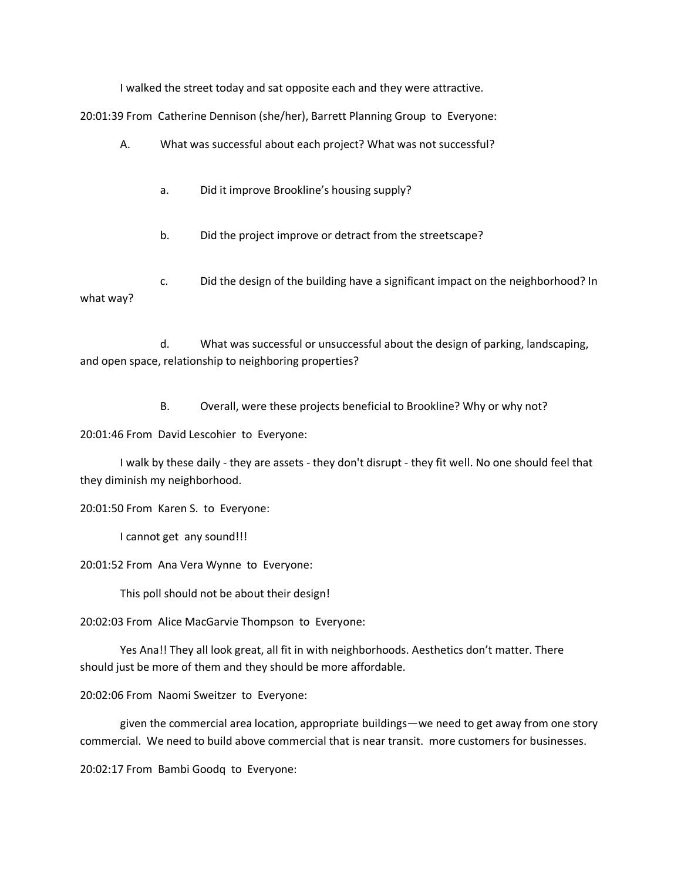I walked the street today and sat opposite each and they were attractive.

20:01:39 From Catherine Dennison (she/her), Barrett Planning Group to Everyone:

- A. What was successful about each project? What was not successful?
	- a. Did it improve Brookline's housing supply?
	- b. Did the project improve or detract from the streetscape?

c. Did the design of the building have a significant impact on the neighborhood? In what way?

d. What was successful or unsuccessful about the design of parking, landscaping, and open space, relationship to neighboring properties?

B. Overall, were these projects beneficial to Brookline? Why or why not?

20:01:46 From David Lescohier to Everyone:

I walk by these daily - they are assets - they don't disrupt - they fit well. No one should feel that they diminish my neighborhood.

20:01:50 From Karen S. to Everyone:

I cannot get any sound!!!

20:01:52 From Ana Vera Wynne to Everyone:

This poll should not be about their design!

20:02:03 From Alice MacGarvie Thompson to Everyone:

Yes Ana!! They all look great, all fit in with neighborhoods. Aesthetics don't matter. There should just be more of them and they should be more affordable.

20:02:06 From Naomi Sweitzer to Everyone:

given the commercial area location, appropriate buildings—we need to get away from one story commercial. We need to build above commercial that is near transit. more customers for businesses.

20:02:17 From Bambi Goodq to Everyone: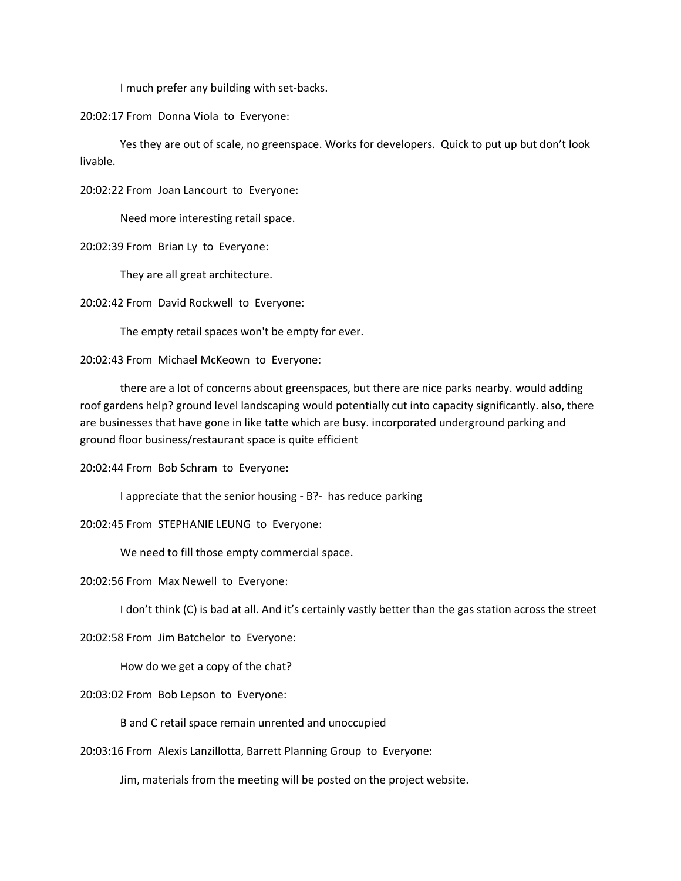I much prefer any building with set-backs.

20:02:17 From Donna Viola to Everyone:

Yes they are out of scale, no greenspace. Works for developers. Quick to put up but don't look livable.

20:02:22 From Joan Lancourt to Everyone:

Need more interesting retail space.

20:02:39 From Brian Ly to Everyone:

They are all great architecture.

20:02:42 From David Rockwell to Everyone:

The empty retail spaces won't be empty for ever.

20:02:43 From Michael McKeown to Everyone:

there are a lot of concerns about greenspaces, but there are nice parks nearby. would adding roof gardens help? ground level landscaping would potentially cut into capacity significantly. also, there are businesses that have gone in like tatte which are busy. incorporated underground parking and ground floor business/restaurant space is quite efficient

20:02:44 From Bob Schram to Everyone:

I appreciate that the senior housing - B?- has reduce parking

20:02:45 From STEPHANIE LEUNG to Everyone:

We need to fill those empty commercial space.

20:02:56 From Max Newell to Everyone:

I don't think (C) is bad at all. And it's certainly vastly better than the gas station across the street

20:02:58 From Jim Batchelor to Everyone:

How do we get a copy of the chat?

20:03:02 From Bob Lepson to Everyone:

B and C retail space remain unrented and unoccupied

20:03:16 From Alexis Lanzillotta, Barrett Planning Group to Everyone:

Jim, materials from the meeting will be posted on the project website.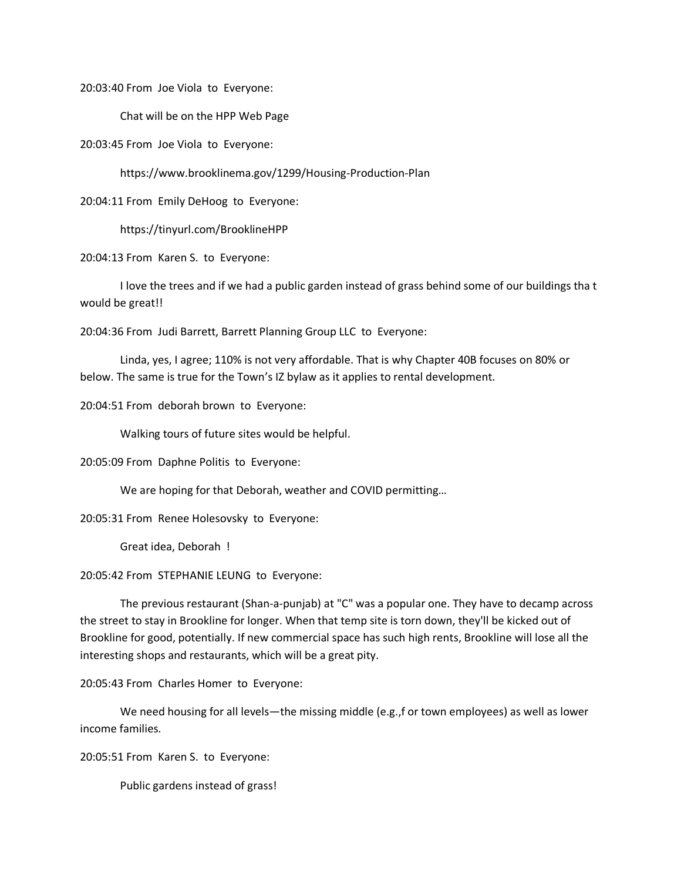20:03:40 From Joe Viola to Everyone:

Chat will be on the HPP Web Page

20:03:45 From Joe Viola to Everyone:

https://www.brooklinema.gov/1299/Housing-Production-Plan

20:04:11 From Emily DeHoog to Everyone:

https://tinyurl.com/BrooklineHPP

20:04:13 From Karen S. to Everyone:

I love the trees and if we had a public garden instead of grass behind some of our buildings tha t would be great!!

20:04:36 From Judi Barrett, Barrett Planning Group LLC to Everyone:

Linda, yes, I agree; 110% is not very affordable. That is why Chapter 40B focuses on 80% or below. The same is true for the Town's IZ bylaw as it applies to rental development.

20:04:51 From deborah brown to Everyone:

Walking tours of future sites would be helpful.

20:05:09 From Daphne Politis to Everyone:

We are hoping for that Deborah, weather and COVID permitting…

20:05:31 From Renee Holesovsky to Everyone:

Great idea, Deborah !

20:05:42 From STEPHANIE LEUNG to Everyone:

The previous restaurant (Shan-a-punjab) at "C" was a popular one. They have to decamp across the street to stay in Brookline for longer. When that temp site is torn down, they'll be kicked out of Brookline for good, potentially. If new commercial space has such high rents, Brookline will lose all the interesting shops and restaurants, which will be a great pity.

20:05:43 From Charles Homer to Everyone:

We need housing for all levels—the missing middle (e.g., f or town employees) as well as lower income families.

20:05:51 From Karen S. to Everyone:

Public gardens instead of grass!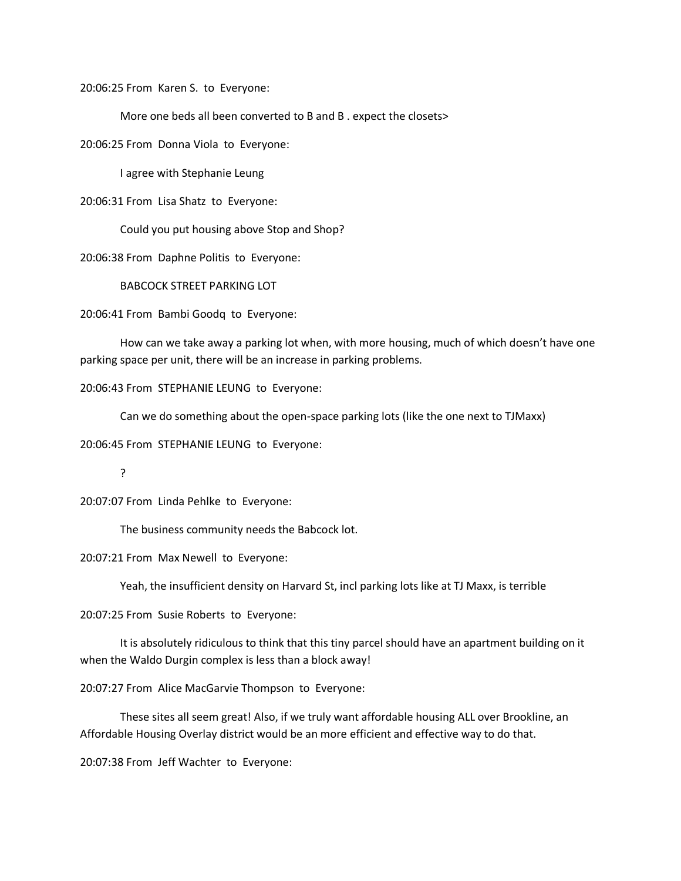20:06:25 From Karen S. to Everyone:

More one beds all been converted to B and B . expect the closets>

20:06:25 From Donna Viola to Everyone:

I agree with Stephanie Leung

20:06:31 From Lisa Shatz to Everyone:

Could you put housing above Stop and Shop?

20:06:38 From Daphne Politis to Everyone:

BABCOCK STREET PARKING LOT

20:06:41 From Bambi Goodq to Everyone:

How can we take away a parking lot when, with more housing, much of which doesn't have one parking space per unit, there will be an increase in parking problems.

20:06:43 From STEPHANIE LEUNG to Everyone:

Can we do something about the open-space parking lots (like the one next to TJMaxx)

20:06:45 From STEPHANIE LEUNG to Everyone:

?

20:07:07 From Linda Pehlke to Everyone:

The business community needs the Babcock lot.

20:07:21 From Max Newell to Everyone:

Yeah, the insufficient density on Harvard St, incl parking lots like at TJ Maxx, is terrible

20:07:25 From Susie Roberts to Everyone:

It is absolutely ridiculous to think that this tiny parcel should have an apartment building on it when the Waldo Durgin complex is less than a block away!

20:07:27 From Alice MacGarvie Thompson to Everyone:

These sites all seem great! Also, if we truly want affordable housing ALL over Brookline, an Affordable Housing Overlay district would be an more efficient and effective way to do that.

20:07:38 From Jeff Wachter to Everyone: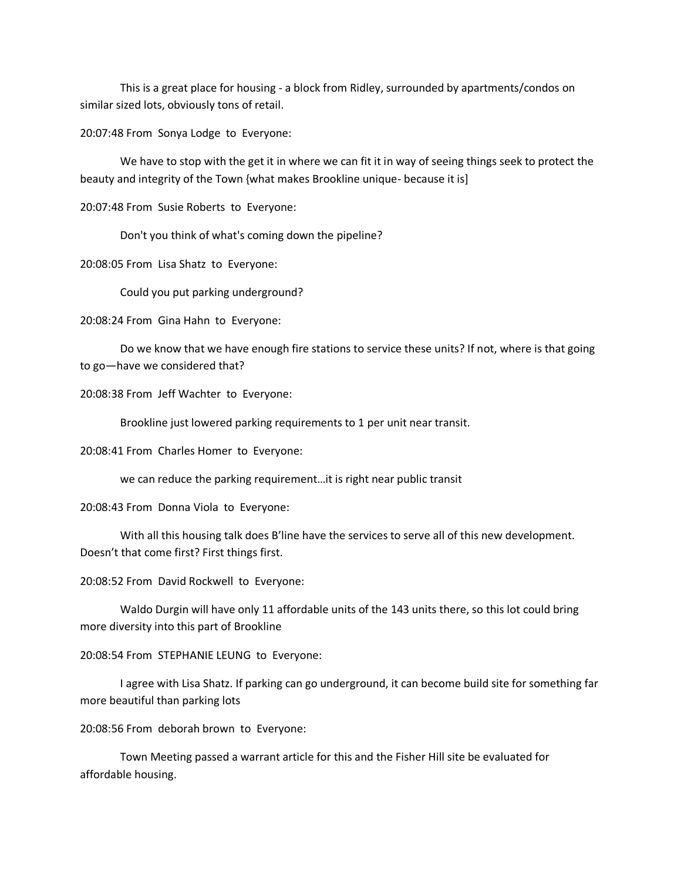This is a great place for housing - a block from Ridley, surrounded by apartments/condos on similar sized lots, obviously tons of retail.

20:07:48 From Sonya Lodge to Everyone:

We have to stop with the get it in where we can fit it in way of seeing things seek to protect the beauty and integrity of the Town {what makes Brookline unique- because it is]

20:07:48 From Susie Roberts to Everyone:

Don't you think of what's coming down the pipeline?

20:08:05 From Lisa Shatz to Everyone:

Could you put parking underground?

20:08:24 From Gina Hahn to Everyone:

Do we know that we have enough fire stations to service these units? If not, where is that going to go—have we considered that?

20:08:38 From Jeff Wachter to Everyone:

Brookline just lowered parking requirements to 1 per unit near transit.

20:08:41 From Charles Homer to Everyone:

we can reduce the parking requirement…it is right near public transit

20:08:43 From Donna Viola to Everyone:

With all this housing talk does B'line have the services to serve all of this new development. Doesn't that come first? First things first.

20:08:52 From David Rockwell to Everyone:

Waldo Durgin will have only 11 affordable units of the 143 units there, so this lot could bring more diversity into this part of Brookline

20:08:54 From STEPHANIE LEUNG to Everyone:

I agree with Lisa Shatz. If parking can go underground, it can become build site for something far more beautiful than parking lots

20:08:56 From deborah brown to Everyone:

Town Meeting passed a warrant article for this and the Fisher Hill site be evaluated for affordable housing.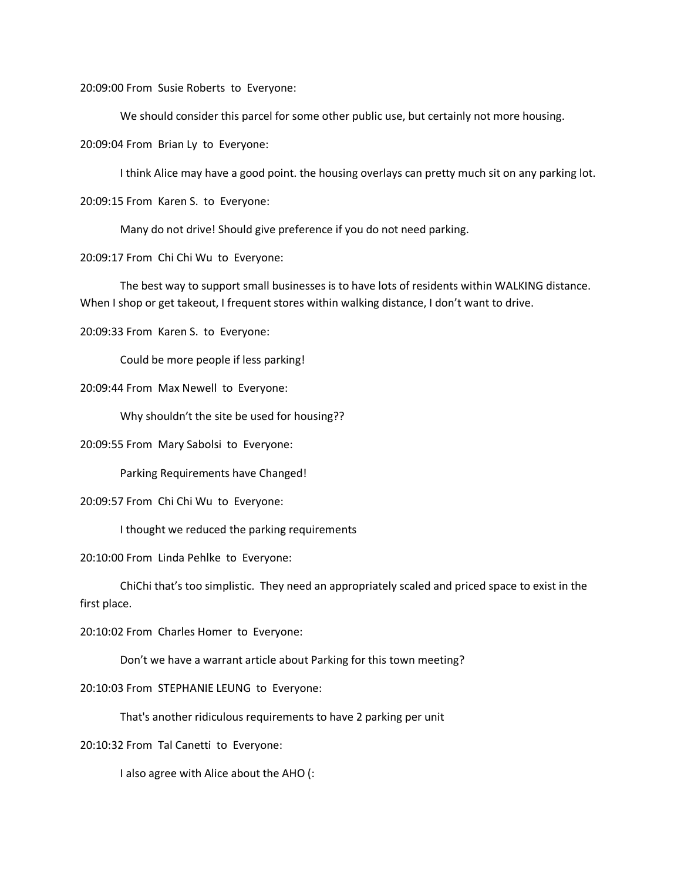20:09:00 From Susie Roberts to Everyone:

We should consider this parcel for some other public use, but certainly not more housing.

20:09:04 From Brian Ly to Everyone:

I think Alice may have a good point. the housing overlays can pretty much sit on any parking lot.

20:09:15 From Karen S. to Everyone:

Many do not drive! Should give preference if you do not need parking.

20:09:17 From Chi Chi Wu to Everyone:

The best way to support small businesses is to have lots of residents within WALKING distance. When I shop or get takeout, I frequent stores within walking distance, I don't want to drive.

20:09:33 From Karen S. to Everyone:

Could be more people if less parking!

20:09:44 From Max Newell to Everyone:

Why shouldn't the site be used for housing??

20:09:55 From Mary Sabolsi to Everyone:

Parking Requirements have Changed!

20:09:57 From Chi Chi Wu to Everyone:

I thought we reduced the parking requirements

20:10:00 From Linda Pehlke to Everyone:

ChiChi that's too simplistic. They need an appropriately scaled and priced space to exist in the first place.

20:10:02 From Charles Homer to Everyone:

Don't we have a warrant article about Parking for this town meeting?

20:10:03 From STEPHANIE LEUNG to Everyone:

That's another ridiculous requirements to have 2 parking per unit

20:10:32 From Tal Canetti to Everyone:

I also agree with Alice about the AHO (: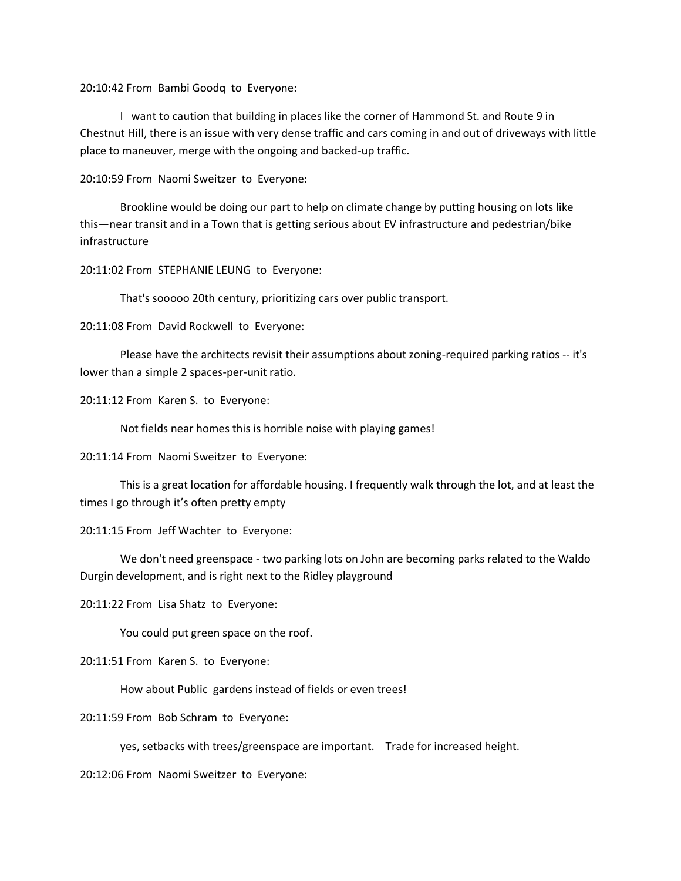20:10:42 From Bambi Goodq to Everyone:

I want to caution that building in places like the corner of Hammond St. and Route 9 in Chestnut Hill, there is an issue with very dense traffic and cars coming in and out of driveways with little place to maneuver, merge with the ongoing and backed-up traffic.

20:10:59 From Naomi Sweitzer to Everyone:

Brookline would be doing our part to help on climate change by putting housing on lots like this—near transit and in a Town that is getting serious about EV infrastructure and pedestrian/bike infrastructure

20:11:02 From STEPHANIE LEUNG to Everyone:

That's sooooo 20th century, prioritizing cars over public transport.

20:11:08 From David Rockwell to Everyone:

Please have the architects revisit their assumptions about zoning-required parking ratios -- it's lower than a simple 2 spaces-per-unit ratio.

20:11:12 From Karen S. to Everyone:

Not fields near homes this is horrible noise with playing games!

20:11:14 From Naomi Sweitzer to Everyone:

This is a great location for affordable housing. I frequently walk through the lot, and at least the times I go through it's often pretty empty

20:11:15 From Jeff Wachter to Everyone:

We don't need greenspace - two parking lots on John are becoming parks related to the Waldo Durgin development, and is right next to the Ridley playground

20:11:22 From Lisa Shatz to Everyone:

You could put green space on the roof.

# 20:11:51 From Karen S. to Everyone:

How about Public gardens instead of fields or even trees!

20:11:59 From Bob Schram to Everyone:

yes, setbacks with trees/greenspace are important. Trade for increased height.

20:12:06 From Naomi Sweitzer to Everyone: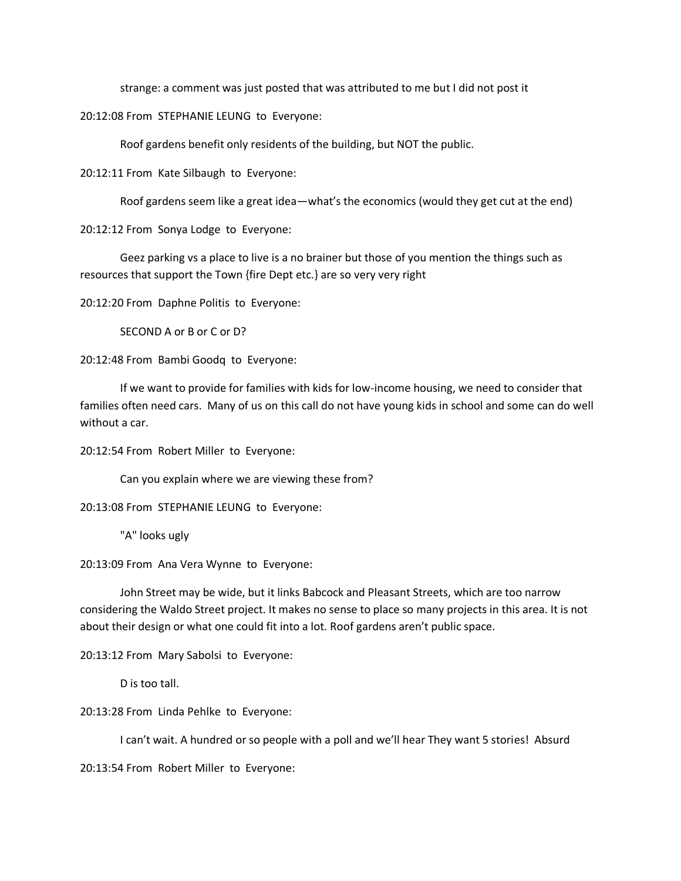strange: a comment was just posted that was attributed to me but I did not post it

20:12:08 From STEPHANIE LEUNG to Everyone:

Roof gardens benefit only residents of the building, but NOT the public.

20:12:11 From Kate Silbaugh to Everyone:

Roof gardens seem like a great idea—what's the economics (would they get cut at the end)

20:12:12 From Sonya Lodge to Everyone:

Geez parking vs a place to live is a no brainer but those of you mention the things such as resources that support the Town {fire Dept etc.} are so very very right

20:12:20 From Daphne Politis to Everyone:

SECOND A or B or C or D?

20:12:48 From Bambi Goodq to Everyone:

If we want to provide for families with kids for low-income housing, we need to consider that families often need cars. Many of us on this call do not have young kids in school and some can do well without a car.

20:12:54 From Robert Miller to Everyone:

Can you explain where we are viewing these from?

20:13:08 From STEPHANIE LEUNG to Everyone:

"A" looks ugly

20:13:09 From Ana Vera Wynne to Everyone:

John Street may be wide, but it links Babcock and Pleasant Streets, which are too narrow considering the Waldo Street project. It makes no sense to place so many projects in this area. It is not about their design or what one could fit into a lot. Roof gardens aren't public space.

20:13:12 From Mary Sabolsi to Everyone:

D is too tall.

20:13:28 From Linda Pehlke to Everyone:

I can't wait. A hundred or so people with a poll and we'll hear They want 5 stories! Absurd

20:13:54 From Robert Miller to Everyone: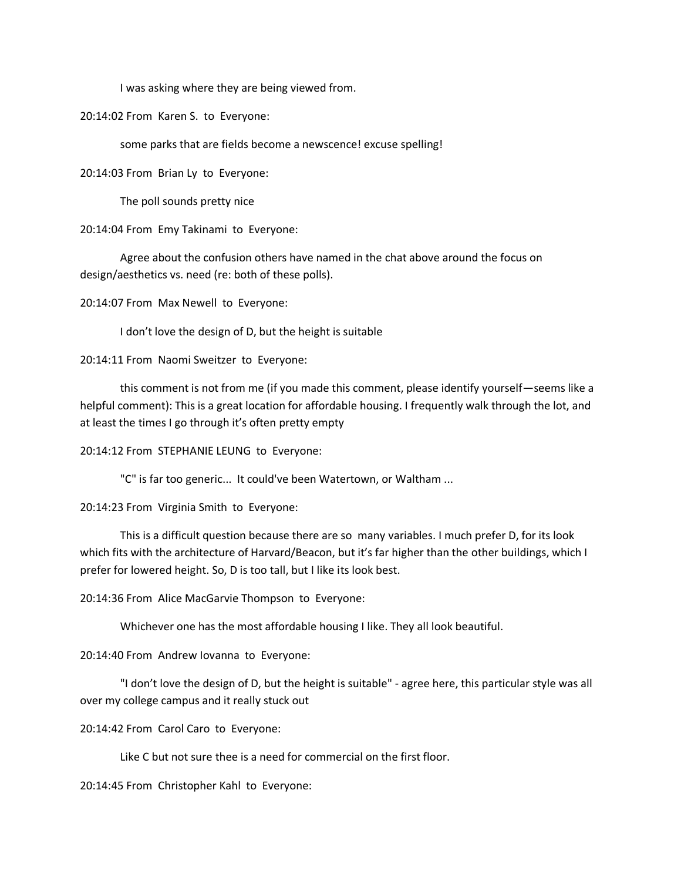I was asking where they are being viewed from.

20:14:02 From Karen S. to Everyone:

some parks that are fields become a newscence! excuse spelling!

20:14:03 From Brian Ly to Everyone:

The poll sounds pretty nice

20:14:04 From Emy Takinami to Everyone:

Agree about the confusion others have named in the chat above around the focus on design/aesthetics vs. need (re: both of these polls).

20:14:07 From Max Newell to Everyone:

I don't love the design of D, but the height is suitable

20:14:11 From Naomi Sweitzer to Everyone:

this comment is not from me (if you made this comment, please identify yourself—seems like a helpful comment): This is a great location for affordable housing. I frequently walk through the lot, and at least the times I go through it's often pretty empty

20:14:12 From STEPHANIE LEUNG to Everyone:

"C" is far too generic... It could've been Watertown, or Waltham ...

20:14:23 From Virginia Smith to Everyone:

This is a difficult question because there are so many variables. I much prefer D, for its look which fits with the architecture of Harvard/Beacon, but it's far higher than the other buildings, which I prefer for lowered height. So, D is too tall, but I like its look best.

20:14:36 From Alice MacGarvie Thompson to Everyone:

Whichever one has the most affordable housing I like. They all look beautiful.

20:14:40 From Andrew Iovanna to Everyone:

"I don't love the design of D, but the height is suitable" - agree here, this particular style was all over my college campus and it really stuck out

20:14:42 From Carol Caro to Everyone:

Like C but not sure thee is a need for commercial on the first floor.

20:14:45 From Christopher Kahl to Everyone: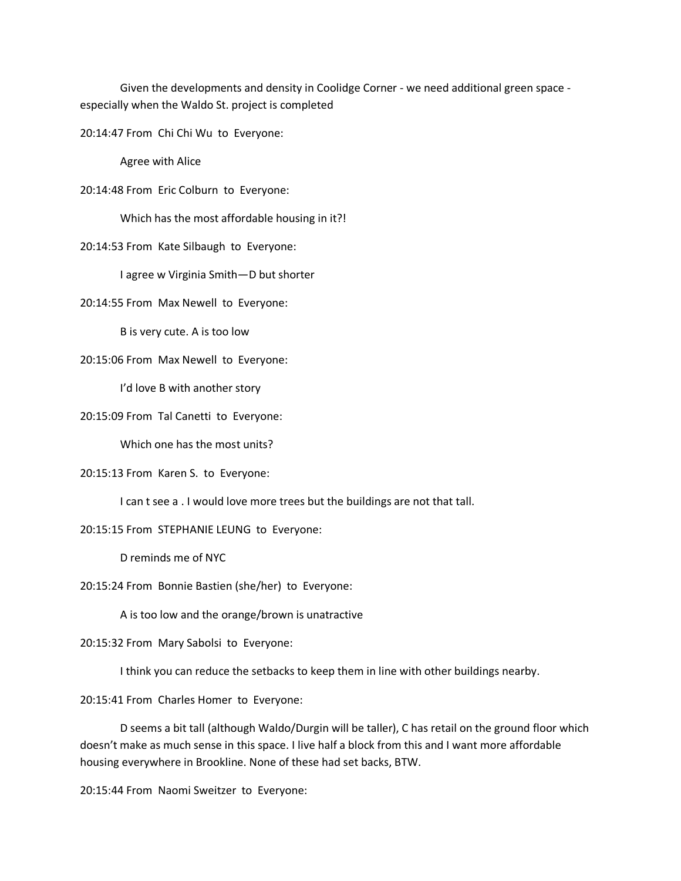Given the developments and density in Coolidge Corner - we need additional green space especially when the Waldo St. project is completed

20:14:47 From Chi Chi Wu to Everyone:

Agree with Alice

20:14:48 From Eric Colburn to Everyone:

Which has the most affordable housing in it?!

20:14:53 From Kate Silbaugh to Everyone:

I agree w Virginia Smith—D but shorter

20:14:55 From Max Newell to Everyone:

B is very cute. A is too low

20:15:06 From Max Newell to Everyone:

I'd love B with another story

20:15:09 From Tal Canetti to Everyone:

Which one has the most units?

## 20:15:13 From Karen S. to Everyone:

I can t see a . I would love more trees but the buildings are not that tall.

20:15:15 From STEPHANIE LEUNG to Everyone:

D reminds me of NYC

20:15:24 From Bonnie Bastien (she/her) to Everyone:

A is too low and the orange/brown is unatractive

20:15:32 From Mary Sabolsi to Everyone:

I think you can reduce the setbacks to keep them in line with other buildings nearby.

20:15:41 From Charles Homer to Everyone:

D seems a bit tall (although Waldo/Durgin will be taller), C has retail on the ground floor which doesn't make as much sense in this space. I live half a block from this and I want more affordable housing everywhere in Brookline. None of these had set backs, BTW.

20:15:44 From Naomi Sweitzer to Everyone: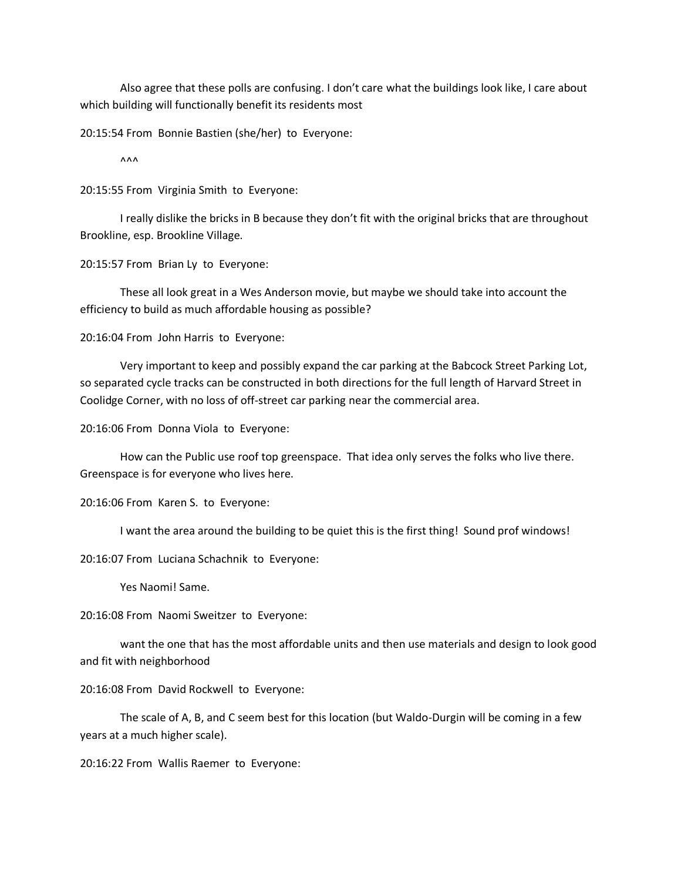Also agree that these polls are confusing. I don't care what the buildings look like, I care about which building will functionally benefit its residents most

20:15:54 From Bonnie Bastien (she/her) to Everyone:

 $\lambda \lambda \lambda$ 

20:15:55 From Virginia Smith to Everyone:

I really dislike the bricks in B because they don't fit with the original bricks that are throughout Brookline, esp. Brookline Village.

20:15:57 From Brian Ly to Everyone:

These all look great in a Wes Anderson movie, but maybe we should take into account the efficiency to build as much affordable housing as possible?

20:16:04 From John Harris to Everyone:

Very important to keep and possibly expand the car parking at the Babcock Street Parking Lot, so separated cycle tracks can be constructed in both directions for the full length of Harvard Street in Coolidge Corner, with no loss of off-street car parking near the commercial area.

20:16:06 From Donna Viola to Everyone:

How can the Public use roof top greenspace. That idea only serves the folks who live there. Greenspace is for everyone who lives here.

20:16:06 From Karen S. to Everyone:

I want the area around the building to be quiet this is the first thing! Sound prof windows!

20:16:07 From Luciana Schachnik to Everyone:

Yes Naomi! Same.

20:16:08 From Naomi Sweitzer to Everyone:

want the one that has the most affordable units and then use materials and design to look good and fit with neighborhood

20:16:08 From David Rockwell to Everyone:

The scale of A, B, and C seem best for this location (but Waldo-Durgin will be coming in a few years at a much higher scale).

20:16:22 From Wallis Raemer to Everyone: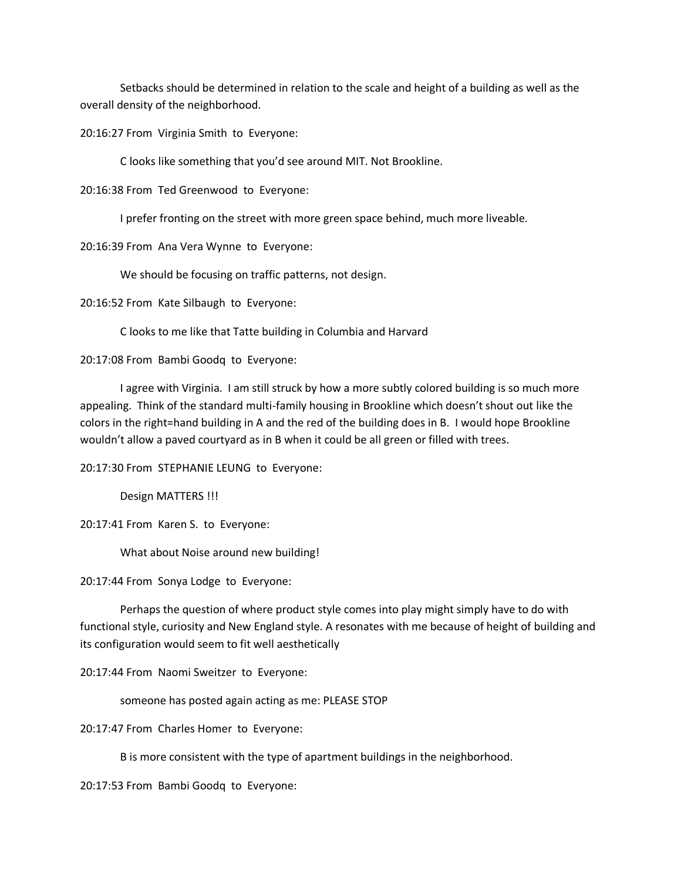Setbacks should be determined in relation to the scale and height of a building as well as the overall density of the neighborhood.

20:16:27 From Virginia Smith to Everyone:

C looks like something that you'd see around MIT. Not Brookline.

20:16:38 From Ted Greenwood to Everyone:

I prefer fronting on the street with more green space behind, much more liveable.

20:16:39 From Ana Vera Wynne to Everyone:

We should be focusing on traffic patterns, not design.

20:16:52 From Kate Silbaugh to Everyone:

C looks to me like that Tatte building in Columbia and Harvard

20:17:08 From Bambi Goodq to Everyone:

I agree with Virginia. I am still struck by how a more subtly colored building is so much more appealing. Think of the standard multi-family housing in Brookline which doesn't shout out like the colors in the right=hand building in A and the red of the building does in B. I would hope Brookline wouldn't allow a paved courtyard as in B when it could be all green or filled with trees.

20:17:30 From STEPHANIE LEUNG to Everyone:

Design MATTERS !!!

20:17:41 From Karen S. to Everyone:

What about Noise around new building!

20:17:44 From Sonya Lodge to Everyone:

Perhaps the question of where product style comes into play might simply have to do with functional style, curiosity and New England style. A resonates with me because of height of building and its configuration would seem to fit well aesthetically

20:17:44 From Naomi Sweitzer to Everyone:

someone has posted again acting as me: PLEASE STOP

20:17:47 From Charles Homer to Everyone:

B is more consistent with the type of apartment buildings in the neighborhood.

20:17:53 From Bambi Goodq to Everyone: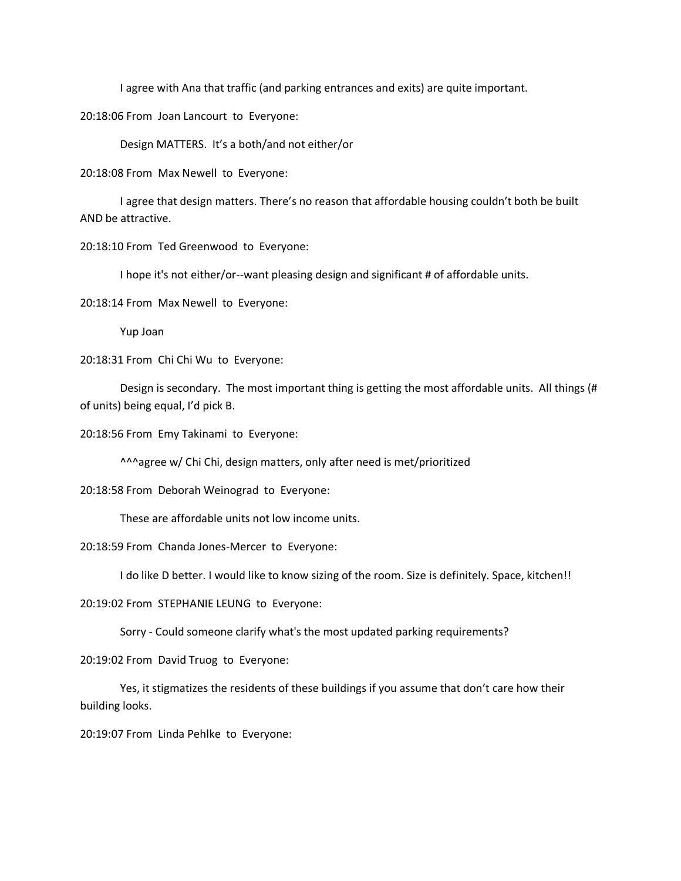I agree with Ana that traffic (and parking entrances and exits) are quite important.

20:18:06 From Joan Lancourt to Everyone:

Design MATTERS. It's a both/and not either/or

20:18:08 From Max Newell to Everyone:

I agree that design matters. There's no reason that affordable housing couldn't both be built AND be attractive.

20:18:10 From Ted Greenwood to Everyone:

I hope it's not either/or--want pleasing design and significant # of affordable units.

20:18:14 From Max Newell to Everyone:

Yup Joan

20:18:31 From Chi Chi Wu to Everyone:

Design is secondary. The most important thing is getting the most affordable units. All things (# of units) being equal, I'd pick B.

20:18:56 From Emy Takinami to Everyone:

^^^agree w/ Chi Chi, design matters, only after need is met/prioritized

20:18:58 From Deborah Weinograd to Everyone:

These are affordable units not low income units.

20:18:59 From Chanda Jones-Mercer to Everyone:

I do like D better. I would like to know sizing of the room. Size is definitely. Space, kitchen!!

20:19:02 From STEPHANIE LEUNG to Everyone:

Sorry - Could someone clarify what's the most updated parking requirements?

20:19:02 From David Truog to Everyone:

Yes, it stigmatizes the residents of these buildings if you assume that don't care how their building looks.

20:19:07 From Linda Pehlke to Everyone: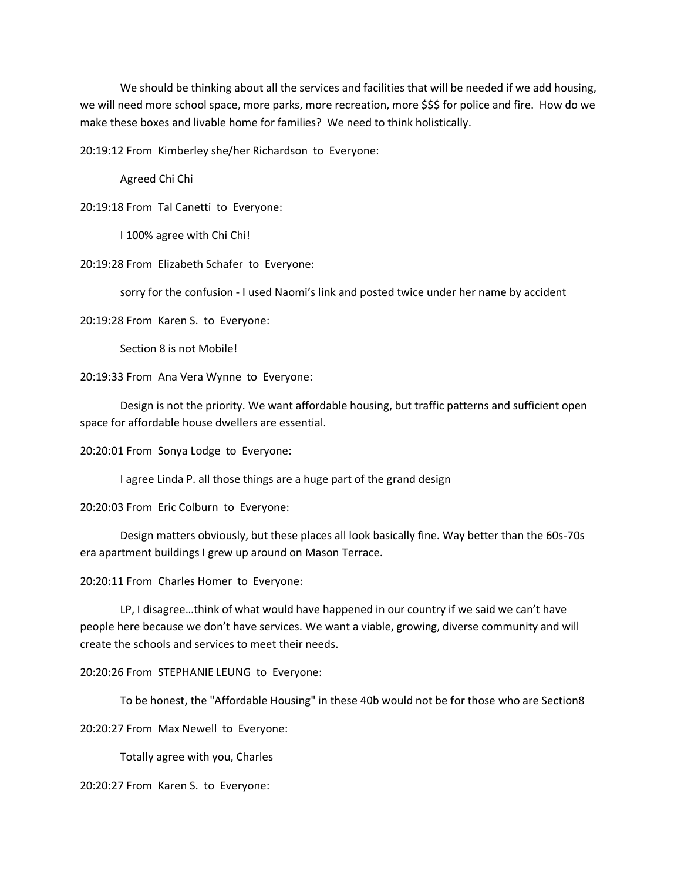We should be thinking about all the services and facilities that will be needed if we add housing, we will need more school space, more parks, more recreation, more \$\$\$ for police and fire. How do we make these boxes and livable home for families? We need to think holistically.

20:19:12 From Kimberley she/her Richardson to Everyone:

Agreed Chi Chi

20:19:18 From Tal Canetti to Everyone:

I 100% agree with Chi Chi!

20:19:28 From Elizabeth Schafer to Everyone:

sorry for the confusion - I used Naomi's link and posted twice under her name by accident

20:19:28 From Karen S. to Everyone:

Section 8 is not Mobile!

20:19:33 From Ana Vera Wynne to Everyone:

Design is not the priority. We want affordable housing, but traffic patterns and sufficient open space for affordable house dwellers are essential.

20:20:01 From Sonya Lodge to Everyone:

I agree Linda P. all those things are a huge part of the grand design

20:20:03 From Eric Colburn to Everyone:

Design matters obviously, but these places all look basically fine. Way better than the 60s-70s era apartment buildings I grew up around on Mason Terrace.

20:20:11 From Charles Homer to Everyone:

LP, I disagree…think of what would have happened in our country if we said we can't have people here because we don't have services. We want a viable, growing, diverse community and will create the schools and services to meet their needs.

20:20:26 From STEPHANIE LEUNG to Everyone:

To be honest, the "Affordable Housing" in these 40b would not be for those who are Section8

20:20:27 From Max Newell to Everyone:

Totally agree with you, Charles

20:20:27 From Karen S. to Everyone: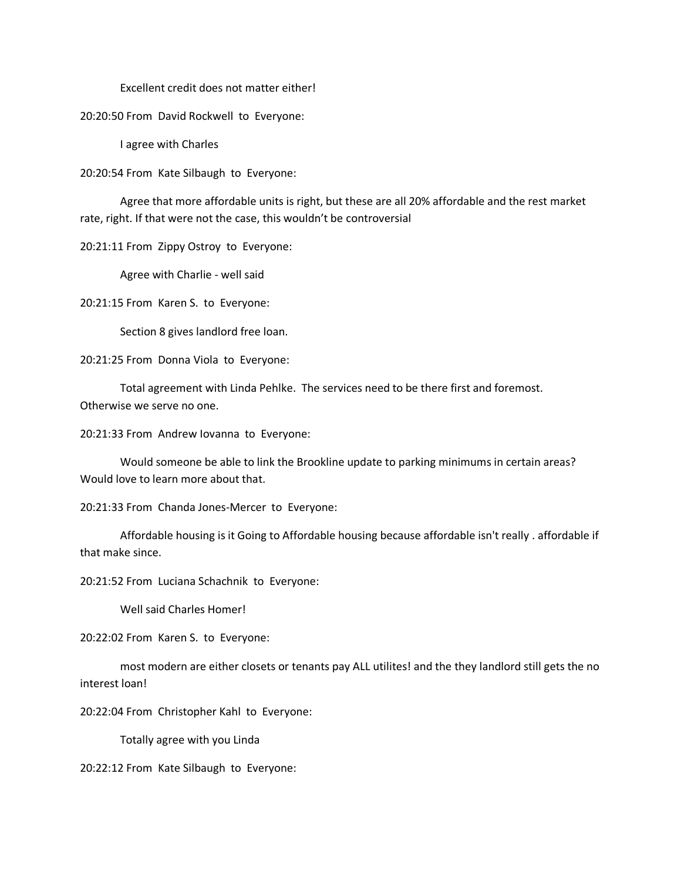Excellent credit does not matter either!

20:20:50 From David Rockwell to Everyone:

I agree with Charles

20:20:54 From Kate Silbaugh to Everyone:

Agree that more affordable units is right, but these are all 20% affordable and the rest market rate, right. If that were not the case, this wouldn't be controversial

20:21:11 From Zippy Ostroy to Everyone:

Agree with Charlie - well said

20:21:15 From Karen S. to Everyone:

Section 8 gives landlord free loan.

20:21:25 From Donna Viola to Everyone:

Total agreement with Linda Pehlke. The services need to be there first and foremost. Otherwise we serve no one.

20:21:33 From Andrew Iovanna to Everyone:

Would someone be able to link the Brookline update to parking minimums in certain areas? Would love to learn more about that.

20:21:33 From Chanda Jones-Mercer to Everyone:

Affordable housing is it Going to Affordable housing because affordable isn't really . affordable if that make since.

20:21:52 From Luciana Schachnik to Everyone:

Well said Charles Homer!

20:22:02 From Karen S. to Everyone:

most modern are either closets or tenants pay ALL utilites! and the they landlord still gets the no interest loan!

20:22:04 From Christopher Kahl to Everyone:

Totally agree with you Linda

20:22:12 From Kate Silbaugh to Everyone: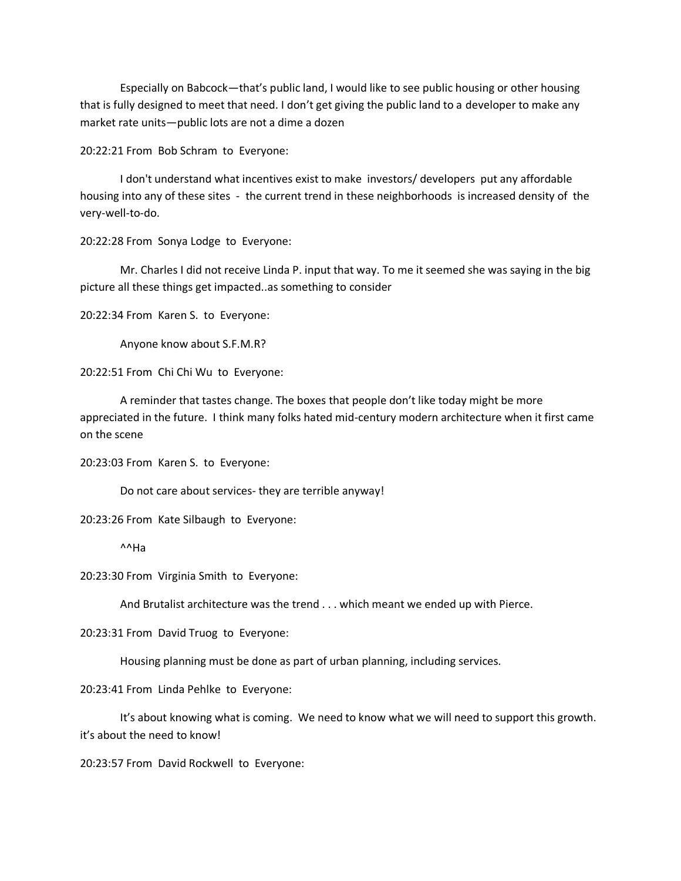Especially on Babcock—that's public land, I would like to see public housing or other housing that is fully designed to meet that need. I don't get giving the public land to a developer to make any market rate units—public lots are not a dime a dozen

20:22:21 From Bob Schram to Everyone:

I don't understand what incentives exist to make investors/ developers put any affordable housing into any of these sites - the current trend in these neighborhoods is increased density of the very-well-to-do.

20:22:28 From Sonya Lodge to Everyone:

Mr. Charles I did not receive Linda P. input that way. To me it seemed she was saying in the big picture all these things get impacted..as something to consider

20:22:34 From Karen S. to Everyone:

Anyone know about S.F.M.R?

20:22:51 From Chi Chi Wu to Everyone:

A reminder that tastes change. The boxes that people don't like today might be more appreciated in the future. I think many folks hated mid-century modern architecture when it first came on the scene

20:23:03 From Karen S. to Everyone:

Do not care about services- they are terrible anyway!

20:23:26 From Kate Silbaugh to Everyone:

^^Ha

20:23:30 From Virginia Smith to Everyone:

And Brutalist architecture was the trend . . . which meant we ended up with Pierce.

20:23:31 From David Truog to Everyone:

Housing planning must be done as part of urban planning, including services.

20:23:41 From Linda Pehlke to Everyone:

It's about knowing what is coming. We need to know what we will need to support this growth. it's about the need to know!

20:23:57 From David Rockwell to Everyone: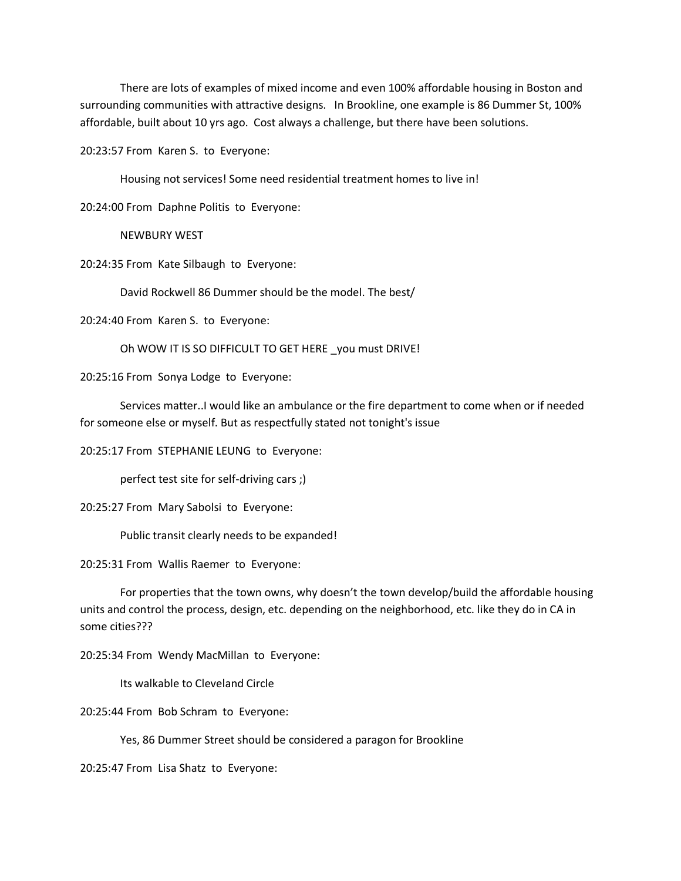There are lots of examples of mixed income and even 100% affordable housing in Boston and surrounding communities with attractive designs. In Brookline, one example is 86 Dummer St, 100% affordable, built about 10 yrs ago. Cost always a challenge, but there have been solutions.

20:23:57 From Karen S. to Everyone:

Housing not services! Some need residential treatment homes to live in!

20:24:00 From Daphne Politis to Everyone:

NEWBURY WEST

20:24:35 From Kate Silbaugh to Everyone:

David Rockwell 86 Dummer should be the model. The best/

20:24:40 From Karen S. to Everyone:

Oh WOW IT IS SO DIFFICULT TO GET HERE \_you must DRIVE!

20:25:16 From Sonya Lodge to Everyone:

Services matter..I would like an ambulance or the fire department to come when or if needed for someone else or myself. But as respectfully stated not tonight's issue

20:25:17 From STEPHANIE LEUNG to Everyone:

perfect test site for self-driving cars ;)

20:25:27 From Mary Sabolsi to Everyone:

Public transit clearly needs to be expanded!

20:25:31 From Wallis Raemer to Everyone:

For properties that the town owns, why doesn't the town develop/build the affordable housing units and control the process, design, etc. depending on the neighborhood, etc. like they do in CA in some cities???

20:25:34 From Wendy MacMillan to Everyone:

Its walkable to Cleveland Circle

20:25:44 From Bob Schram to Everyone:

Yes, 86 Dummer Street should be considered a paragon for Brookline

20:25:47 From Lisa Shatz to Everyone: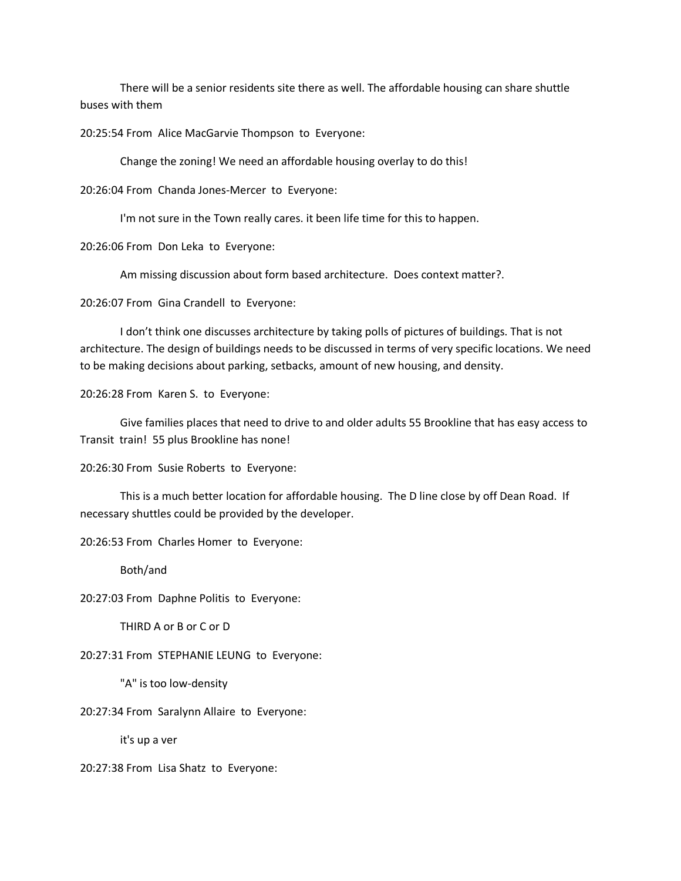There will be a senior residents site there as well. The affordable housing can share shuttle buses with them

20:25:54 From Alice MacGarvie Thompson to Everyone:

Change the zoning! We need an affordable housing overlay to do this!

20:26:04 From Chanda Jones-Mercer to Everyone:

I'm not sure in the Town really cares. it been life time for this to happen.

20:26:06 From Don Leka to Everyone:

Am missing discussion about form based architecture. Does context matter?.

20:26:07 From Gina Crandell to Everyone:

I don't think one discusses architecture by taking polls of pictures of buildings. That is not architecture. The design of buildings needs to be discussed in terms of very specific locations. We need to be making decisions about parking, setbacks, amount of new housing, and density.

20:26:28 From Karen S. to Everyone:

Give families places that need to drive to and older adults 55 Brookline that has easy access to Transit train! 55 plus Brookline has none!

20:26:30 From Susie Roberts to Everyone:

This is a much better location for affordable housing. The D line close by off Dean Road. If necessary shuttles could be provided by the developer.

20:26:53 From Charles Homer to Everyone:

Both/and

20:27:03 From Daphne Politis to Everyone:

THIRD A or B or C or D

20:27:31 From STEPHANIE LEUNG to Everyone:

"A" is too low-density

20:27:34 From Saralynn Allaire to Everyone:

it's up a ver

20:27:38 From Lisa Shatz to Everyone: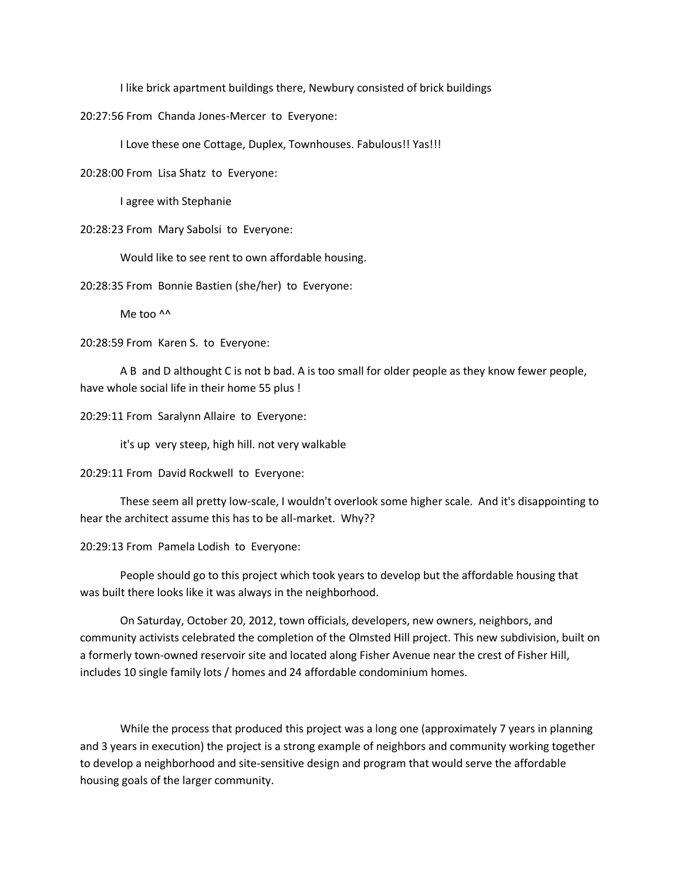I like brick apartment buildings there, Newbury consisted of brick buildings

20:27:56 From Chanda Jones-Mercer to Everyone:

I Love these one Cottage, Duplex, Townhouses. Fabulous!! Yas!!!

20:28:00 From Lisa Shatz to Everyone:

I agree with Stephanie

20:28:23 From Mary Sabolsi to Everyone:

Would like to see rent to own affordable housing.

20:28:35 From Bonnie Bastien (she/her) to Everyone:

Me too ^^

20:28:59 From Karen S. to Everyone:

A B and D althought C is not b bad. A is too small for older people as they know fewer people, have whole social life in their home 55 plus !

20:29:11 From Saralynn Allaire to Everyone:

it's up very steep, high hill. not very walkable

20:29:11 From David Rockwell to Everyone:

These seem all pretty low-scale, I wouldn't overlook some higher scale. And it's disappointing to hear the architect assume this has to be all-market. Why??

20:29:13 From Pamela Lodish to Everyone:

People should go to this project which took years to develop but the affordable housing that was built there looks like it was always in the neighborhood.

On Saturday, October 20, 2012, town officials, developers, new owners, neighbors, and community activists celebrated the completion of the Olmsted Hill project. This new subdivision, built on a formerly town-owned reservoir site and located along Fisher Avenue near the crest of Fisher Hill, includes 10 single family lots / homes and 24 affordable condominium homes.

While the process that produced this project was a long one (approximately 7 years in planning and 3 years in execution) the project is a strong example of neighbors and community working together to develop a neighborhood and site-sensitive design and program that would serve the affordable housing goals of the larger community.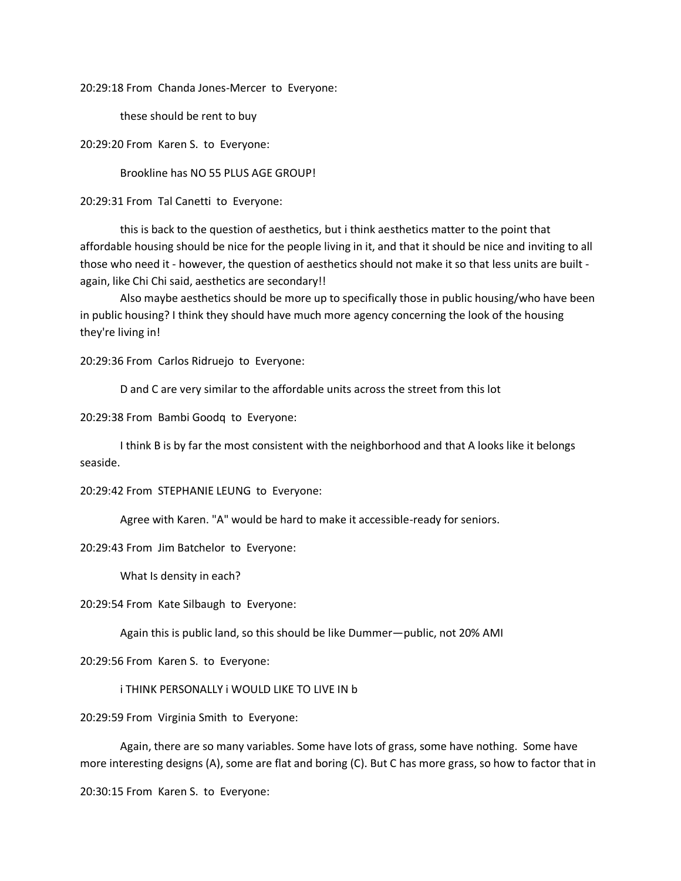20:29:18 From Chanda Jones-Mercer to Everyone:

these should be rent to buy

20:29:20 From Karen S. to Everyone:

Brookline has NO 55 PLUS AGE GROUP!

20:29:31 From Tal Canetti to Everyone:

this is back to the question of aesthetics, but i think aesthetics matter to the point that affordable housing should be nice for the people living in it, and that it should be nice and inviting to all those who need it - however, the question of aesthetics should not make it so that less units are built again, like Chi Chi said, aesthetics are secondary!!

Also maybe aesthetics should be more up to specifically those in public housing/who have been in public housing? I think they should have much more agency concerning the look of the housing they're living in!

20:29:36 From Carlos Ridruejo to Everyone:

D and C are very similar to the affordable units across the street from this lot

20:29:38 From Bambi Goodq to Everyone:

I think B is by far the most consistent with the neighborhood and that A looks like it belongs seaside.

20:29:42 From STEPHANIE LEUNG to Everyone:

Agree with Karen. "A" would be hard to make it accessible-ready for seniors.

20:29:43 From Jim Batchelor to Everyone:

What Is density in each?

20:29:54 From Kate Silbaugh to Everyone:

Again this is public land, so this should be like Dummer—public, not 20% AMI

20:29:56 From Karen S. to Everyone:

i THINK PERSONALLY i WOULD LIKE TO LIVE IN b

20:29:59 From Virginia Smith to Everyone:

Again, there are so many variables. Some have lots of grass, some have nothing. Some have more interesting designs (A), some are flat and boring (C). But C has more grass, so how to factor that in

20:30:15 From Karen S. to Everyone: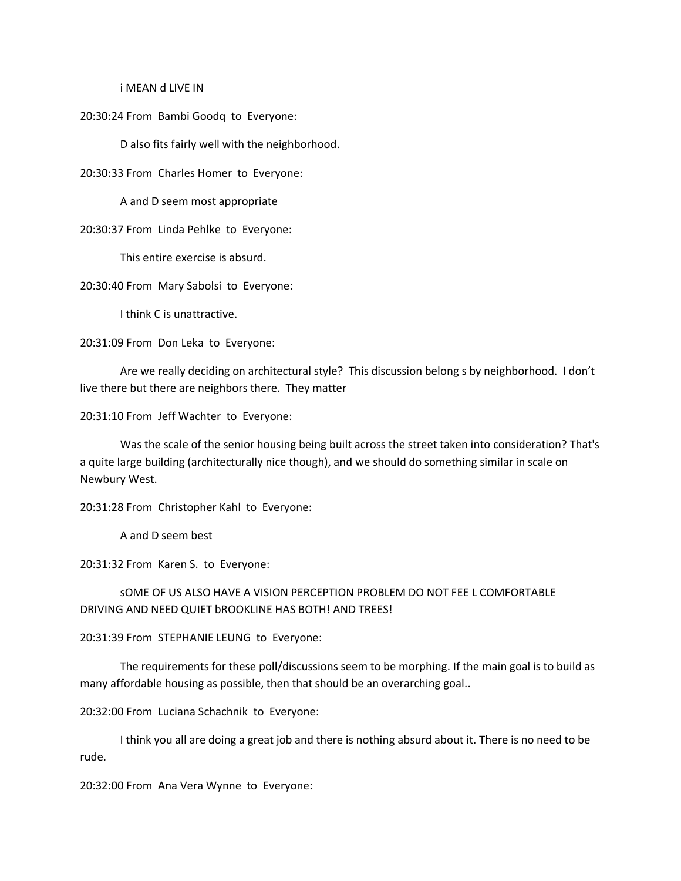#### i MEAN d LIVE IN

20:30:24 From Bambi Goodq to Everyone:

D also fits fairly well with the neighborhood.

20:30:33 From Charles Homer to Everyone:

A and D seem most appropriate

20:30:37 From Linda Pehlke to Everyone:

This entire exercise is absurd.

20:30:40 From Mary Sabolsi to Everyone:

I think C is unattractive.

20:31:09 From Don Leka to Everyone:

Are we really deciding on architectural style? This discussion belong s by neighborhood. I don't live there but there are neighbors there. They matter

20:31:10 From Jeff Wachter to Everyone:

Was the scale of the senior housing being built across the street taken into consideration? That's a quite large building (architecturally nice though), and we should do something similar in scale on Newbury West.

20:31:28 From Christopher Kahl to Everyone:

A and D seem best

20:31:32 From Karen S. to Everyone:

sOME OF US ALSO HAVE A VISION PERCEPTION PROBLEM DO NOT FEE L COMFORTABLE DRIVING AND NEED QUIET bROOKLINE HAS BOTH! AND TREES!

20:31:39 From STEPHANIE LEUNG to Everyone:

The requirements for these poll/discussions seem to be morphing. If the main goal is to build as many affordable housing as possible, then that should be an overarching goal..

20:32:00 From Luciana Schachnik to Everyone:

I think you all are doing a great job and there is nothing absurd about it. There is no need to be rude.

20:32:00 From Ana Vera Wynne to Everyone: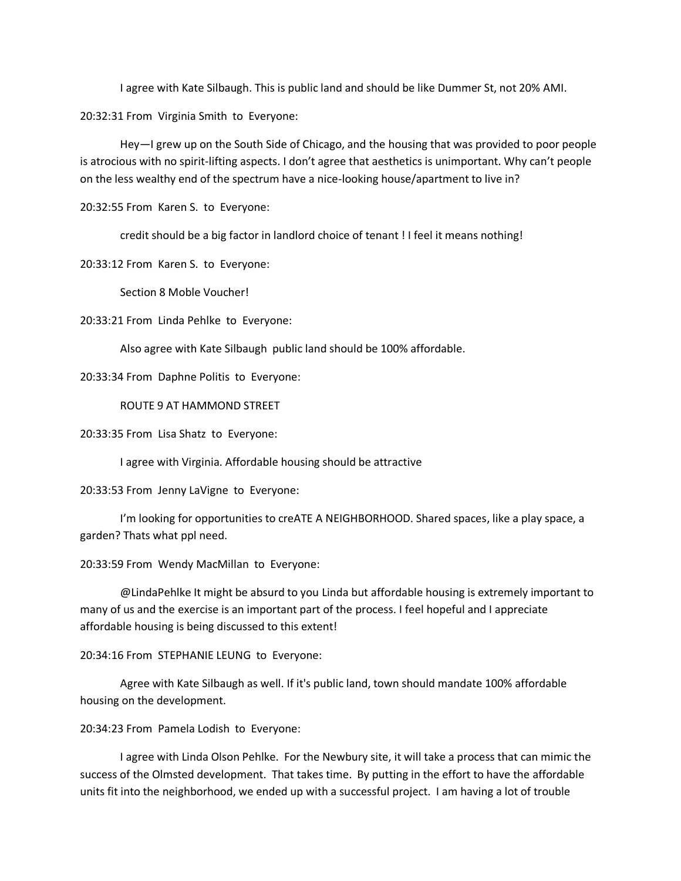I agree with Kate Silbaugh. This is public land and should be like Dummer St, not 20% AMI.

20:32:31 From Virginia Smith to Everyone:

Hey—I grew up on the South Side of Chicago, and the housing that was provided to poor people is atrocious with no spirit-lifting aspects. I don't agree that aesthetics is unimportant. Why can't people on the less wealthy end of the spectrum have a nice-looking house/apartment to live in?

20:32:55 From Karen S. to Everyone:

credit should be a big factor in landlord choice of tenant ! I feel it means nothing!

20:33:12 From Karen S. to Everyone:

Section 8 Moble Voucher!

20:33:21 From Linda Pehlke to Everyone:

Also agree with Kate Silbaugh public land should be 100% affordable.

20:33:34 From Daphne Politis to Everyone:

ROUTE 9 AT HAMMOND STREET

20:33:35 From Lisa Shatz to Everyone:

I agree with Virginia. Affordable housing should be attractive

20:33:53 From Jenny LaVigne to Everyone:

I'm looking for opportunities to creATE A NEIGHBORHOOD. Shared spaces, like a play space, a garden? Thats what ppl need.

20:33:59 From Wendy MacMillan to Everyone:

@LindaPehlke It might be absurd to you Linda but affordable housing is extremely important to many of us and the exercise is an important part of the process. I feel hopeful and I appreciate affordable housing is being discussed to this extent!

20:34:16 From STEPHANIE LEUNG to Everyone:

Agree with Kate Silbaugh as well. If it's public land, town should mandate 100% affordable housing on the development.

20:34:23 From Pamela Lodish to Everyone:

I agree with Linda Olson Pehlke. For the Newbury site, it will take a process that can mimic the success of the Olmsted development. That takes time. By putting in the effort to have the affordable units fit into the neighborhood, we ended up with a successful project. I am having a lot of trouble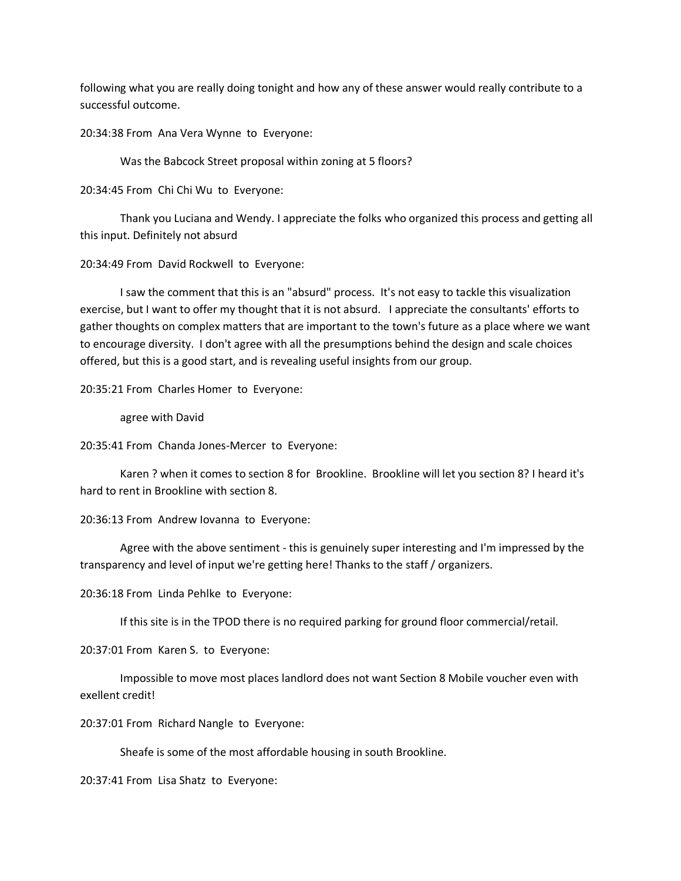following what you are really doing tonight and how any of these answer would really contribute to a successful outcome.

20:34:38 From Ana Vera Wynne to Everyone:

Was the Babcock Street proposal within zoning at 5 floors?

20:34:45 From Chi Chi Wu to Everyone:

Thank you Luciana and Wendy. I appreciate the folks who organized this process and getting all this input. Definitely not absurd

20:34:49 From David Rockwell to Everyone:

I saw the comment that this is an "absurd" process. It's not easy to tackle this visualization exercise, but I want to offer my thought that it is not absurd. I appreciate the consultants' efforts to gather thoughts on complex matters that are important to the town's future as a place where we want to encourage diversity. I don't agree with all the presumptions behind the design and scale choices offered, but this is a good start, and is revealing useful insights from our group.

20:35:21 From Charles Homer to Everyone:

agree with David

20:35:41 From Chanda Jones-Mercer to Everyone:

Karen ? when it comes to section 8 for Brookline. Brookline will let you section 8? I heard it's hard to rent in Brookline with section 8.

20:36:13 From Andrew Iovanna to Everyone:

Agree with the above sentiment - this is genuinely super interesting and I'm impressed by the transparency and level of input we're getting here! Thanks to the staff / organizers.

20:36:18 From Linda Pehlke to Everyone:

If this site is in the TPOD there is no required parking for ground floor commercial/retail.

20:37:01 From Karen S. to Everyone:

Impossible to move most places landlord does not want Section 8 Mobile voucher even with exellent credit!

20:37:01 From Richard Nangle to Everyone:

Sheafe is some of the most affordable housing in south Brookline.

20:37:41 From Lisa Shatz to Everyone: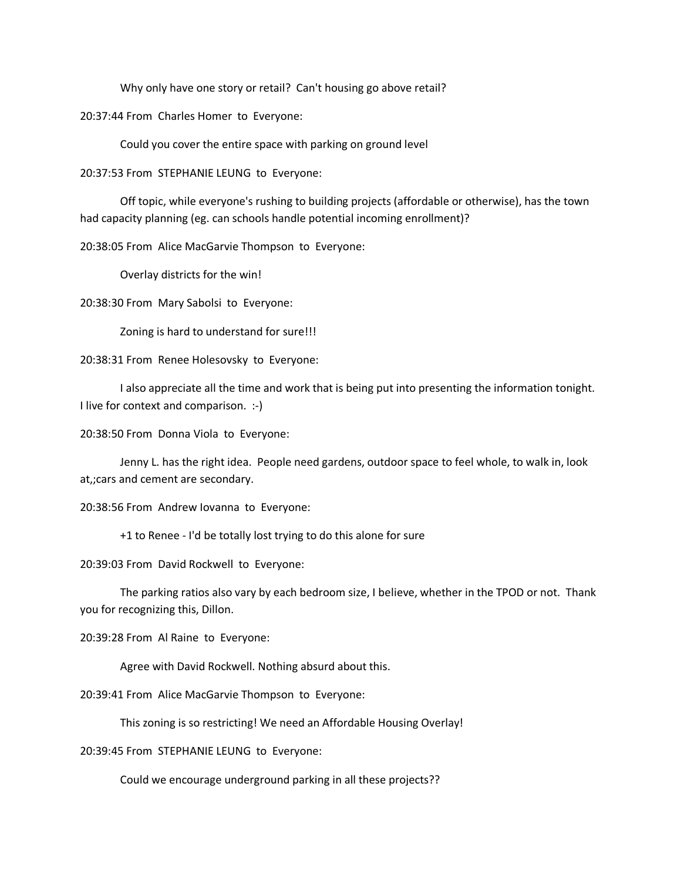Why only have one story or retail? Can't housing go above retail?

20:37:44 From Charles Homer to Everyone:

Could you cover the entire space with parking on ground level

20:37:53 From STEPHANIE LEUNG to Everyone:

Off topic, while everyone's rushing to building projects (affordable or otherwise), has the town had capacity planning (eg. can schools handle potential incoming enrollment)?

20:38:05 From Alice MacGarvie Thompson to Everyone:

Overlay districts for the win!

20:38:30 From Mary Sabolsi to Everyone:

Zoning is hard to understand for sure!!!

20:38:31 From Renee Holesovsky to Everyone:

I also appreciate all the time and work that is being put into presenting the information tonight. I live for context and comparison. :-)

20:38:50 From Donna Viola to Everyone:

Jenny L. has the right idea. People need gardens, outdoor space to feel whole, to walk in, look at,;cars and cement are secondary.

20:38:56 From Andrew Iovanna to Everyone:

+1 to Renee - I'd be totally lost trying to do this alone for sure

20:39:03 From David Rockwell to Everyone:

The parking ratios also vary by each bedroom size, I believe, whether in the TPOD or not. Thank you for recognizing this, Dillon.

20:39:28 From Al Raine to Everyone:

Agree with David Rockwell. Nothing absurd about this.

20:39:41 From Alice MacGarvie Thompson to Everyone:

This zoning is so restricting! We need an Affordable Housing Overlay!

20:39:45 From STEPHANIE LEUNG to Everyone:

Could we encourage underground parking in all these projects??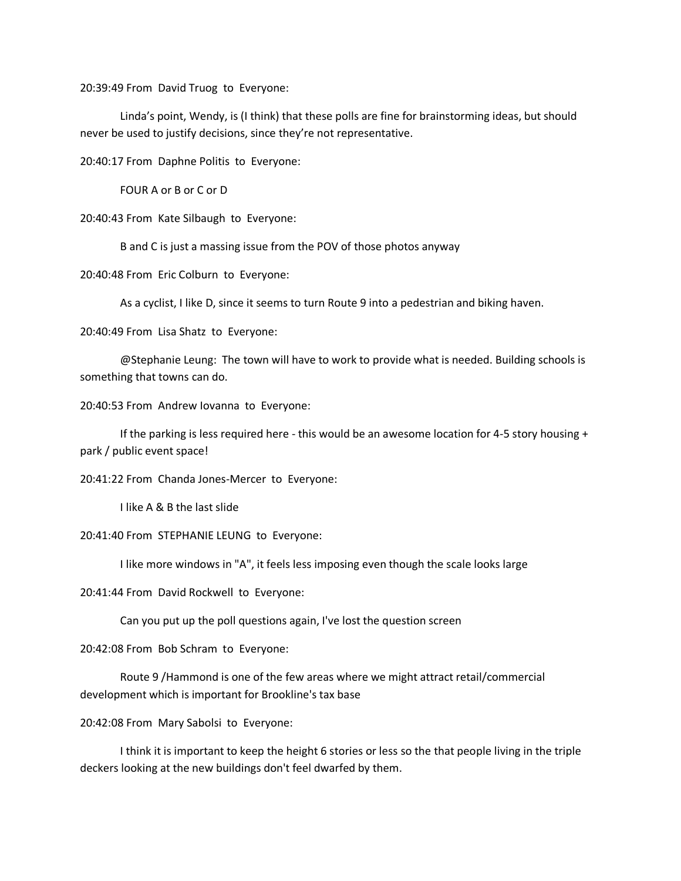20:39:49 From David Truog to Everyone:

Linda's point, Wendy, is (I think) that these polls are fine for brainstorming ideas, but should never be used to justify decisions, since they're not representative.

20:40:17 From Daphne Politis to Everyone:

FOUR A or B or C or D

20:40:43 From Kate Silbaugh to Everyone:

B and C is just a massing issue from the POV of those photos anyway

20:40:48 From Eric Colburn to Everyone:

As a cyclist, I like D, since it seems to turn Route 9 into a pedestrian and biking haven.

20:40:49 From Lisa Shatz to Everyone:

@Stephanie Leung: The town will have to work to provide what is needed. Building schools is something that towns can do.

20:40:53 From Andrew Iovanna to Everyone:

If the parking is less required here - this would be an awesome location for 4-5 story housing + park / public event space!

20:41:22 From Chanda Jones-Mercer to Everyone:

I like A & B the last slide

20:41:40 From STEPHANIE LEUNG to Everyone:

I like more windows in "A", it feels less imposing even though the scale looks large

20:41:44 From David Rockwell to Everyone:

Can you put up the poll questions again, I've lost the question screen

20:42:08 From Bob Schram to Everyone:

Route 9 /Hammond is one of the few areas where we might attract retail/commercial development which is important for Brookline's tax base

20:42:08 From Mary Sabolsi to Everyone:

I think it is important to keep the height 6 stories or less so the that people living in the triple deckers looking at the new buildings don't feel dwarfed by them.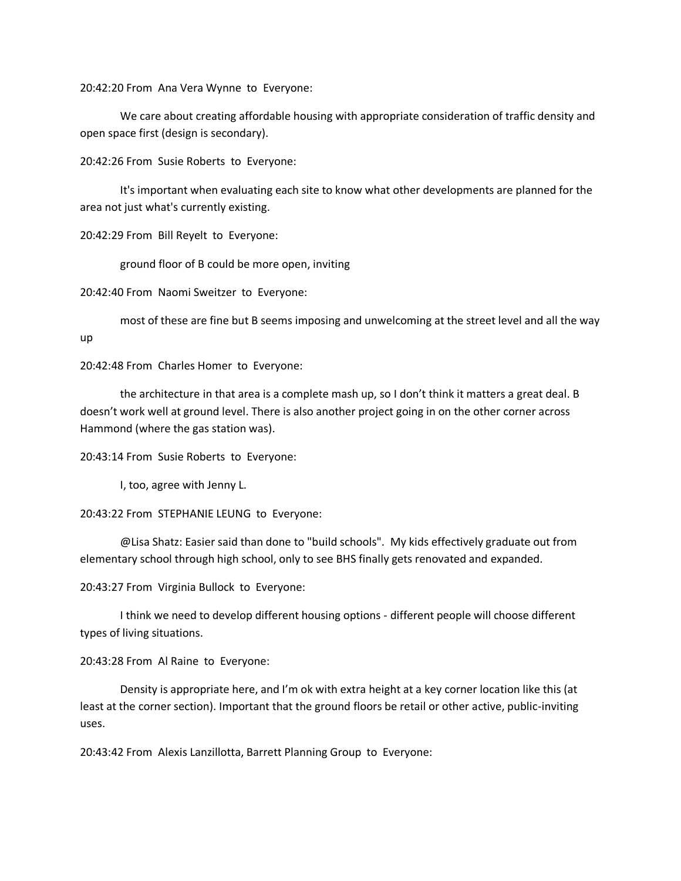20:42:20 From Ana Vera Wynne to Everyone:

We care about creating affordable housing with appropriate consideration of traffic density and open space first (design is secondary).

20:42:26 From Susie Roberts to Everyone:

It's important when evaluating each site to know what other developments are planned for the area not just what's currently existing.

20:42:29 From Bill Reyelt to Everyone:

ground floor of B could be more open, inviting

20:42:40 From Naomi Sweitzer to Everyone:

most of these are fine but B seems imposing and unwelcoming at the street level and all the way up

20:42:48 From Charles Homer to Everyone:

the architecture in that area is a complete mash up, so I don't think it matters a great deal. B doesn't work well at ground level. There is also another project going in on the other corner across Hammond (where the gas station was).

20:43:14 From Susie Roberts to Everyone:

I, too, agree with Jenny L.

20:43:22 From STEPHANIE LEUNG to Everyone:

@Lisa Shatz: Easier said than done to "build schools". My kids effectively graduate out from elementary school through high school, only to see BHS finally gets renovated and expanded.

20:43:27 From Virginia Bullock to Everyone:

I think we need to develop different housing options - different people will choose different types of living situations.

20:43:28 From Al Raine to Everyone:

Density is appropriate here, and I'm ok with extra height at a key corner location like this (at least at the corner section). Important that the ground floors be retail or other active, public-inviting uses.

20:43:42 From Alexis Lanzillotta, Barrett Planning Group to Everyone: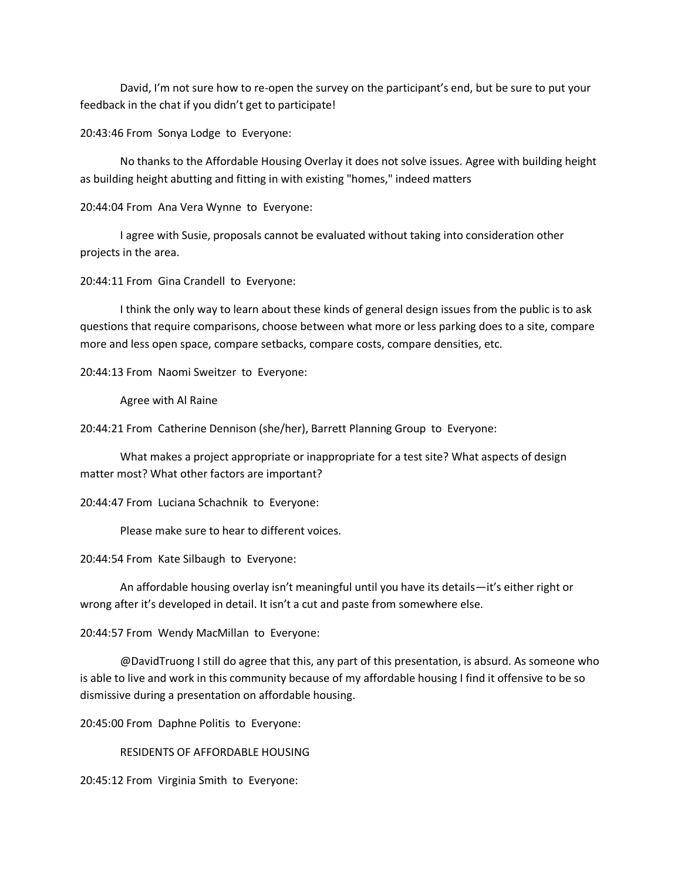David, I'm not sure how to re-open the survey on the participant's end, but be sure to put your feedback in the chat if you didn't get to participate!

20:43:46 From Sonya Lodge to Everyone:

No thanks to the Affordable Housing Overlay it does not solve issues. Agree with building height as building height abutting and fitting in with existing "homes," indeed matters

20:44:04 From Ana Vera Wynne to Everyone:

I agree with Susie, proposals cannot be evaluated without taking into consideration other projects in the area.

20:44:11 From Gina Crandell to Everyone:

I think the only way to learn about these kinds of general design issues from the public is to ask questions that require comparisons, choose between what more or less parking does to a site, compare more and less open space, compare setbacks, compare costs, compare densities, etc.

20:44:13 From Naomi Sweitzer to Everyone:

Agree with Al Raine

20:44:21 From Catherine Dennison (she/her), Barrett Planning Group to Everyone:

What makes a project appropriate or inappropriate for a test site? What aspects of design matter most? What other factors are important?

20:44:47 From Luciana Schachnik to Everyone:

Please make sure to hear to different voices.

20:44:54 From Kate Silbaugh to Everyone:

An affordable housing overlay isn't meaningful until you have its details—it's either right or wrong after it's developed in detail. It isn't a cut and paste from somewhere else.

20:44:57 From Wendy MacMillan to Everyone:

@DavidTruong I still do agree that this, any part of this presentation, is absurd. As someone who is able to live and work in this community because of my affordable housing I find it offensive to be so dismissive during a presentation on affordable housing.

20:45:00 From Daphne Politis to Everyone:

RESIDENTS OF AFFORDABLE HOUSING

20:45:12 From Virginia Smith to Everyone: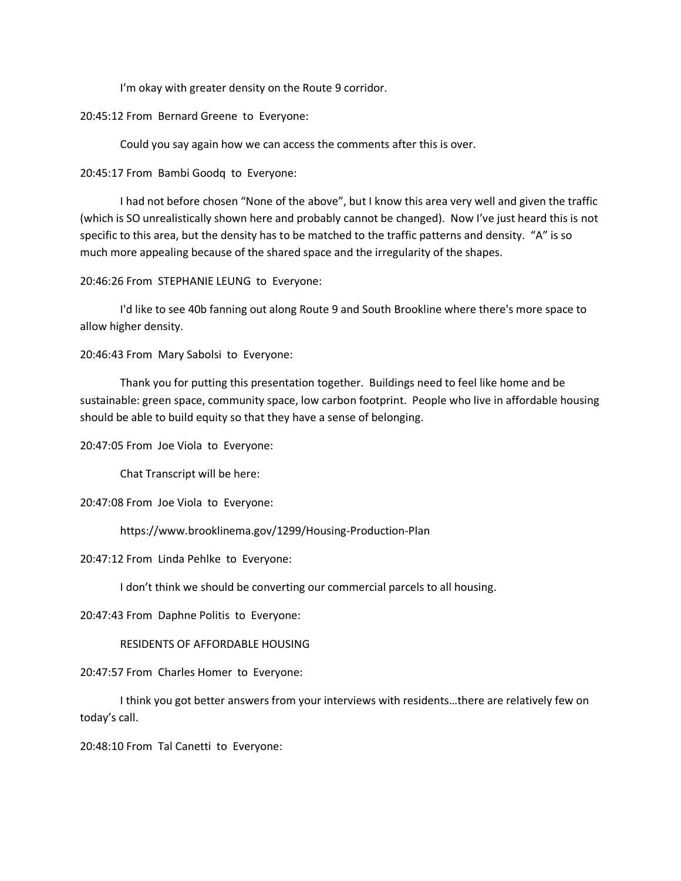I'm okay with greater density on the Route 9 corridor.

20:45:12 From Bernard Greene to Everyone:

Could you say again how we can access the comments after this is over.

20:45:17 From Bambi Goodq to Everyone:

I had not before chosen "None of the above", but I know this area very well and given the traffic (which is SO unrealistically shown here and probably cannot be changed). Now I've just heard this is not specific to this area, but the density has to be matched to the traffic patterns and density. "A" is so much more appealing because of the shared space and the irregularity of the shapes.

20:46:26 From STEPHANIE LEUNG to Everyone:

I'd like to see 40b fanning out along Route 9 and South Brookline where there's more space to allow higher density.

20:46:43 From Mary Sabolsi to Everyone:

Thank you for putting this presentation together. Buildings need to feel like home and be sustainable: green space, community space, low carbon footprint. People who live in affordable housing should be able to build equity so that they have a sense of belonging.

20:47:05 From Joe Viola to Everyone:

Chat Transcript will be here:

20:47:08 From Joe Viola to Everyone:

https://www.brooklinema.gov/1299/Housing-Production-Plan

20:47:12 From Linda Pehlke to Everyone:

I don't think we should be converting our commercial parcels to all housing.

20:47:43 From Daphne Politis to Everyone:

RESIDENTS OF AFFORDABLE HOUSING

20:47:57 From Charles Homer to Everyone:

I think you got better answers from your interviews with residents…there are relatively few on today's call.

20:48:10 From Tal Canetti to Everyone: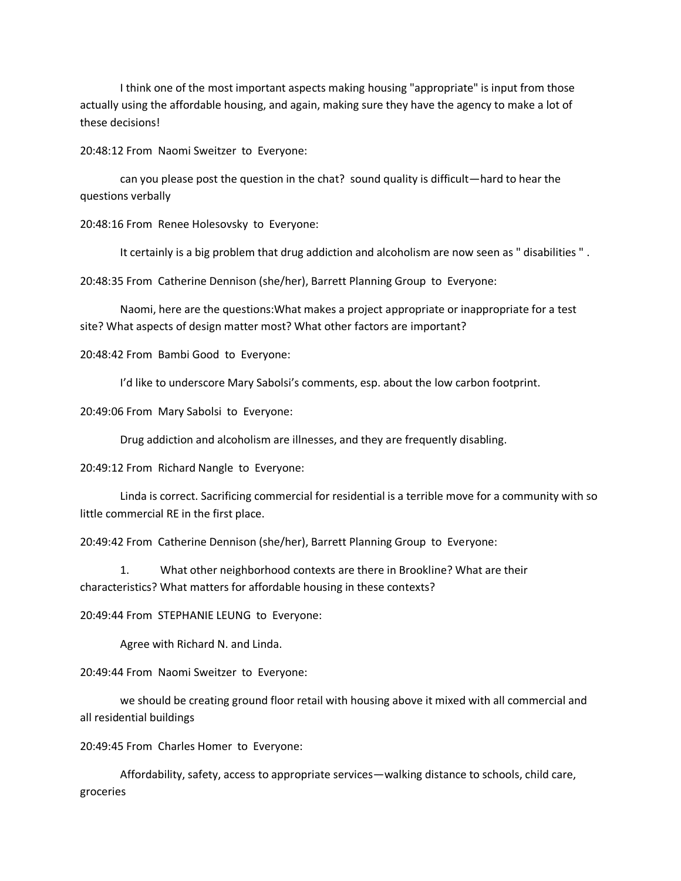I think one of the most important aspects making housing "appropriate" is input from those actually using the affordable housing, and again, making sure they have the agency to make a lot of these decisions!

20:48:12 From Naomi Sweitzer to Everyone:

can you please post the question in the chat? sound quality is difficult—hard to hear the questions verbally

20:48:16 From Renee Holesovsky to Everyone:

It certainly is a big problem that drug addiction and alcoholism are now seen as " disabilities " .

20:48:35 From Catherine Dennison (she/her), Barrett Planning Group to Everyone:

Naomi, here are the questions:What makes a project appropriate or inappropriate for a test site? What aspects of design matter most? What other factors are important?

20:48:42 From Bambi Good to Everyone:

I'd like to underscore Mary Sabolsi's comments, esp. about the low carbon footprint.

20:49:06 From Mary Sabolsi to Everyone:

Drug addiction and alcoholism are illnesses, and they are frequently disabling.

20:49:12 From Richard Nangle to Everyone:

Linda is correct. Sacrificing commercial for residential is a terrible move for a community with so little commercial RE in the first place.

20:49:42 From Catherine Dennison (she/her), Barrett Planning Group to Everyone:

1. What other neighborhood contexts are there in Brookline? What are their characteristics? What matters for affordable housing in these contexts?

20:49:44 From STEPHANIE LEUNG to Everyone:

Agree with Richard N. and Linda.

20:49:44 From Naomi Sweitzer to Everyone:

we should be creating ground floor retail with housing above it mixed with all commercial and all residential buildings

20:49:45 From Charles Homer to Everyone:

Affordability, safety, access to appropriate services—walking distance to schools, child care, groceries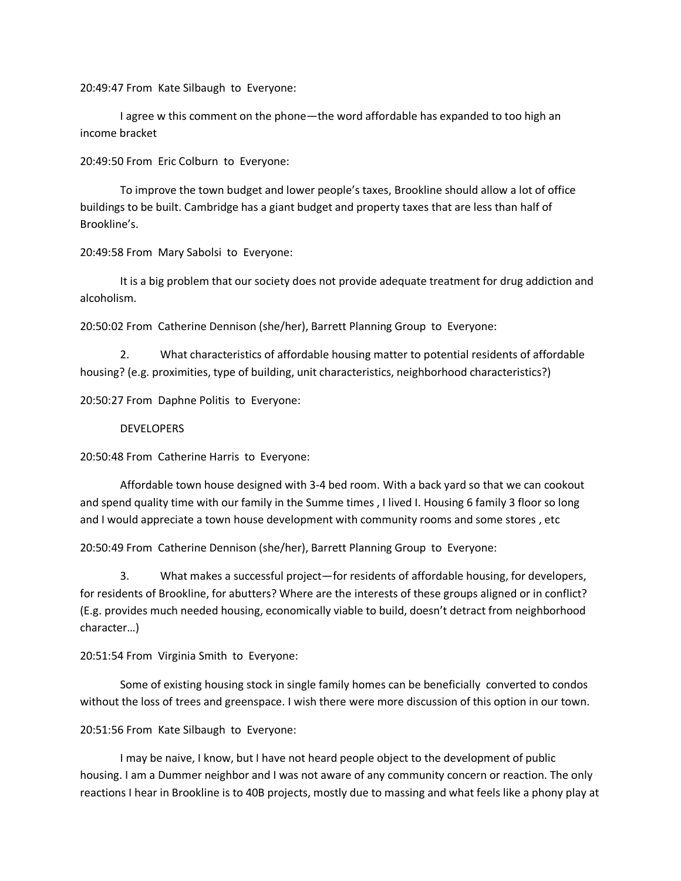20:49:47 From Kate Silbaugh to Everyone:

I agree w this comment on the phone—the word affordable has expanded to too high an income bracket

20:49:50 From Eric Colburn to Everyone:

To improve the town budget and lower people's taxes, Brookline should allow a lot of office buildings to be built. Cambridge has a giant budget and property taxes that are less than half of Brookline's.

20:49:58 From Mary Sabolsi to Everyone:

It is a big problem that our society does not provide adequate treatment for drug addiction and alcoholism.

20:50:02 From Catherine Dennison (she/her), Barrett Planning Group to Everyone:

2. What characteristics of affordable housing matter to potential residents of affordable housing? (e.g. proximities, type of building, unit characteristics, neighborhood characteristics?)

20:50:27 From Daphne Politis to Everyone:

#### DEVELOPERS

20:50:48 From Catherine Harris to Everyone:

Affordable town house designed with 3-4 bed room. With a back yard so that we can cookout and spend quality time with our family in the Summe times , I lived I. Housing 6 family 3 floor so long and I would appreciate a town house development with community rooms and some stores , etc

20:50:49 From Catherine Dennison (she/her), Barrett Planning Group to Everyone:

3. What makes a successful project—for residents of affordable housing, for developers, for residents of Brookline, for abutters? Where are the interests of these groups aligned or in conflict? (E.g. provides much needed housing, economically viable to build, doesn't detract from neighborhood character…)

20:51:54 From Virginia Smith to Everyone:

Some of existing housing stock in single family homes can be beneficially converted to condos without the loss of trees and greenspace. I wish there were more discussion of this option in our town.

20:51:56 From Kate Silbaugh to Everyone:

I may be naive, I know, but I have not heard people object to the development of public housing. I am a Dummer neighbor and I was not aware of any community concern or reaction. The only reactions I hear in Brookline is to 40B projects, mostly due to massing and what feels like a phony play at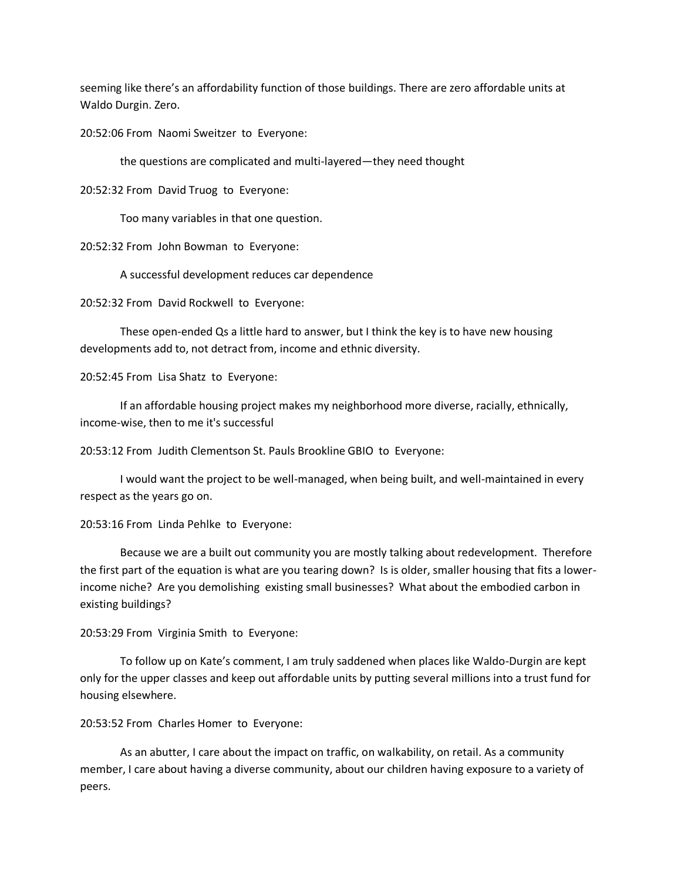seeming like there's an affordability function of those buildings. There are zero affordable units at Waldo Durgin. Zero.

20:52:06 From Naomi Sweitzer to Everyone:

the questions are complicated and multi-layered—they need thought

20:52:32 From David Truog to Everyone:

Too many variables in that one question.

20:52:32 From John Bowman to Everyone:

A successful development reduces car dependence

20:52:32 From David Rockwell to Everyone:

These open-ended Qs a little hard to answer, but I think the key is to have new housing developments add to, not detract from, income and ethnic diversity.

20:52:45 From Lisa Shatz to Everyone:

If an affordable housing project makes my neighborhood more diverse, racially, ethnically, income-wise, then to me it's successful

20:53:12 From Judith Clementson St. Pauls Brookline GBIO to Everyone:

I would want the project to be well-managed, when being built, and well-maintained in every respect as the years go on.

20:53:16 From Linda Pehlke to Everyone:

Because we are a built out community you are mostly talking about redevelopment. Therefore the first part of the equation is what are you tearing down? Is is older, smaller housing that fits a lowerincome niche? Are you demolishing existing small businesses? What about the embodied carbon in existing buildings?

20:53:29 From Virginia Smith to Everyone:

To follow up on Kate's comment, I am truly saddened when places like Waldo-Durgin are kept only for the upper classes and keep out affordable units by putting several millions into a trust fund for housing elsewhere.

20:53:52 From Charles Homer to Everyone:

As an abutter, I care about the impact on traffic, on walkability, on retail. As a community member, I care about having a diverse community, about our children having exposure to a variety of peers.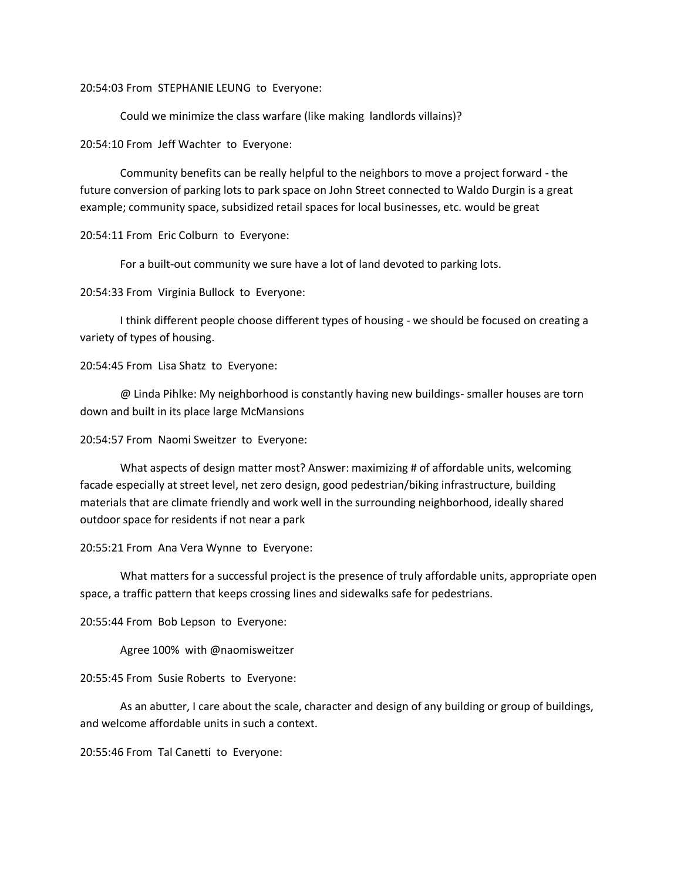20:54:03 From STEPHANIE LEUNG to Everyone:

Could we minimize the class warfare (like making landlords villains)?

20:54:10 From Jeff Wachter to Everyone:

Community benefits can be really helpful to the neighbors to move a project forward - the future conversion of parking lots to park space on John Street connected to Waldo Durgin is a great example; community space, subsidized retail spaces for local businesses, etc. would be great

20:54:11 From Eric Colburn to Everyone:

For a built-out community we sure have a lot of land devoted to parking lots.

20:54:33 From Virginia Bullock to Everyone:

I think different people choose different types of housing - we should be focused on creating a variety of types of housing.

20:54:45 From Lisa Shatz to Everyone:

@ Linda Pihlke: My neighborhood is constantly having new buildings- smaller houses are torn down and built in its place large McMansions

20:54:57 From Naomi Sweitzer to Everyone:

What aspects of design matter most? Answer: maximizing # of affordable units, welcoming facade especially at street level, net zero design, good pedestrian/biking infrastructure, building materials that are climate friendly and work well in the surrounding neighborhood, ideally shared outdoor space for residents if not near a park

20:55:21 From Ana Vera Wynne to Everyone:

What matters for a successful project is the presence of truly affordable units, appropriate open space, a traffic pattern that keeps crossing lines and sidewalks safe for pedestrians.

20:55:44 From Bob Lepson to Everyone:

Agree 100% with @naomisweitzer

20:55:45 From Susie Roberts to Everyone:

As an abutter, I care about the scale, character and design of any building or group of buildings, and welcome affordable units in such a context.

20:55:46 From Tal Canetti to Everyone: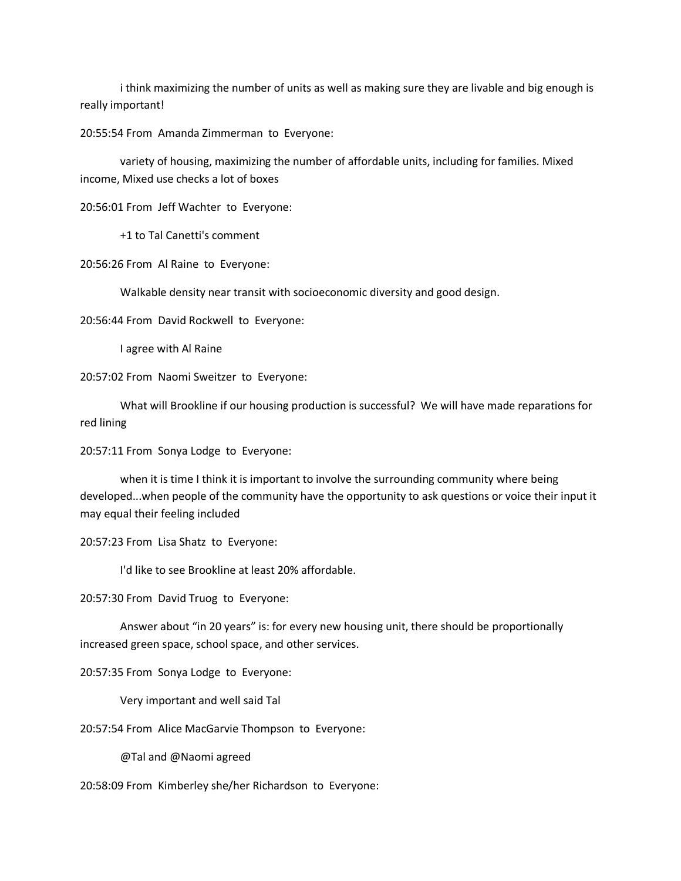i think maximizing the number of units as well as making sure they are livable and big enough is really important!

20:55:54 From Amanda Zimmerman to Everyone:

variety of housing, maximizing the number of affordable units, including for families. Mixed income, Mixed use checks a lot of boxes

20:56:01 From Jeff Wachter to Everyone:

+1 to Tal Canetti's comment

20:56:26 From Al Raine to Everyone:

Walkable density near transit with socioeconomic diversity and good design.

20:56:44 From David Rockwell to Everyone:

I agree with Al Raine

20:57:02 From Naomi Sweitzer to Everyone:

What will Brookline if our housing production is successful? We will have made reparations for red lining

20:57:11 From Sonya Lodge to Everyone:

when it is time I think it is important to involve the surrounding community where being developed...when people of the community have the opportunity to ask questions or voice their input it may equal their feeling included

20:57:23 From Lisa Shatz to Everyone:

I'd like to see Brookline at least 20% affordable.

20:57:30 From David Truog to Everyone:

Answer about "in 20 years" is: for every new housing unit, there should be proportionally increased green space, school space, and other services.

20:57:35 From Sonya Lodge to Everyone:

Very important and well said Tal

20:57:54 From Alice MacGarvie Thompson to Everyone:

@Tal and @Naomi agreed

20:58:09 From Kimberley she/her Richardson to Everyone: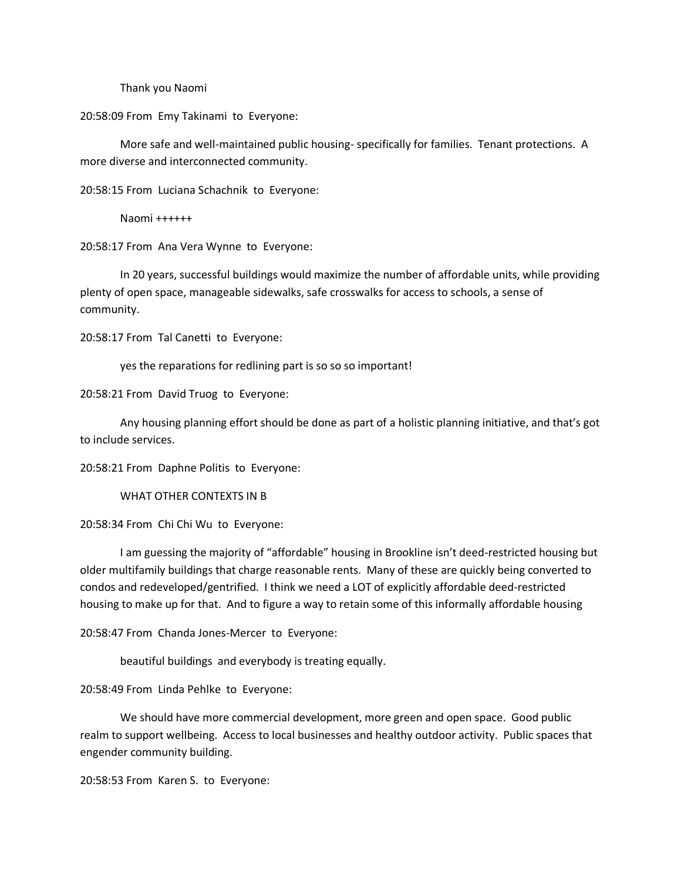Thank you Naomi

20:58:09 From Emy Takinami to Everyone:

More safe and well-maintained public housing- specifically for families. Tenant protections. A more diverse and interconnected community.

20:58:15 From Luciana Schachnik to Everyone:

Naomi ++++++

20:58:17 From Ana Vera Wynne to Everyone:

In 20 years, successful buildings would maximize the number of affordable units, while providing plenty of open space, manageable sidewalks, safe crosswalks for access to schools, a sense of community.

20:58:17 From Tal Canetti to Everyone:

yes the reparations for redlining part is so so so important!

20:58:21 From David Truog to Everyone:

Any housing planning effort should be done as part of a holistic planning initiative, and that's got to include services.

20:58:21 From Daphne Politis to Everyone:

WHAT OTHER CONTEXTS IN B

20:58:34 From Chi Chi Wu to Everyone:

I am guessing the majority of "affordable" housing in Brookline isn't deed-restricted housing but older multifamily buildings that charge reasonable rents. Many of these are quickly being converted to condos and redeveloped/gentrified. I think we need a LOT of explicitly affordable deed-restricted housing to make up for that. And to figure a way to retain some of this informally affordable housing

20:58:47 From Chanda Jones-Mercer to Everyone:

beautiful buildings and everybody is treating equally.

20:58:49 From Linda Pehlke to Everyone:

We should have more commercial development, more green and open space. Good public realm to support wellbeing. Access to local businesses and healthy outdoor activity. Public spaces that engender community building.

20:58:53 From Karen S. to Everyone: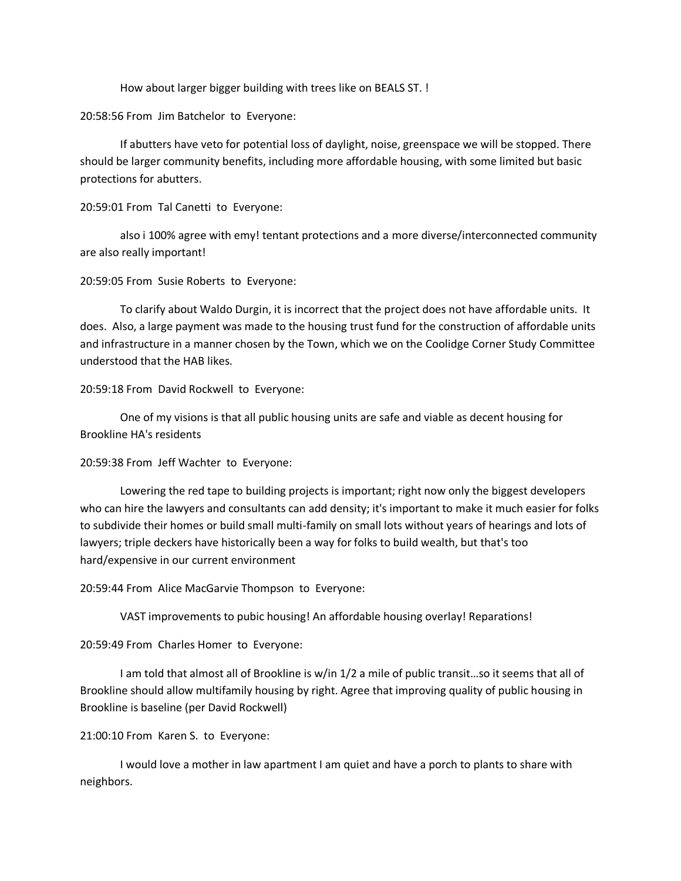How about larger bigger building with trees like on BEALS ST. !

20:58:56 From Jim Batchelor to Everyone:

If abutters have veto for potential loss of daylight, noise, greenspace we will be stopped. There should be larger community benefits, including more affordable housing, with some limited but basic protections for abutters.

20:59:01 From Tal Canetti to Everyone:

also i 100% agree with emy! tentant protections and a more diverse/interconnected community are also really important!

20:59:05 From Susie Roberts to Everyone:

To clarify about Waldo Durgin, it is incorrect that the project does not have affordable units. It does. Also, a large payment was made to the housing trust fund for the construction of affordable units and infrastructure in a manner chosen by the Town, which we on the Coolidge Corner Study Committee understood that the HAB likes.

20:59:18 From David Rockwell to Everyone:

One of my visions is that all public housing units are safe and viable as decent housing for Brookline HA's residents

20:59:38 From Jeff Wachter to Everyone:

Lowering the red tape to building projects is important; right now only the biggest developers who can hire the lawyers and consultants can add density; it's important to make it much easier for folks to subdivide their homes or build small multi-family on small lots without years of hearings and lots of lawyers; triple deckers have historically been a way for folks to build wealth, but that's too hard/expensive in our current environment

20:59:44 From Alice MacGarvie Thompson to Everyone:

VAST improvements to pubic housing! An affordable housing overlay! Reparations!

20:59:49 From Charles Homer to Everyone:

I am told that almost all of Brookline is w/in 1/2 a mile of public transit…so it seems that all of Brookline should allow multifamily housing by right. Agree that improving quality of public housing in Brookline is baseline (per David Rockwell)

## 21:00:10 From Karen S. to Everyone:

I would love a mother in law apartment I am quiet and have a porch to plants to share with neighbors.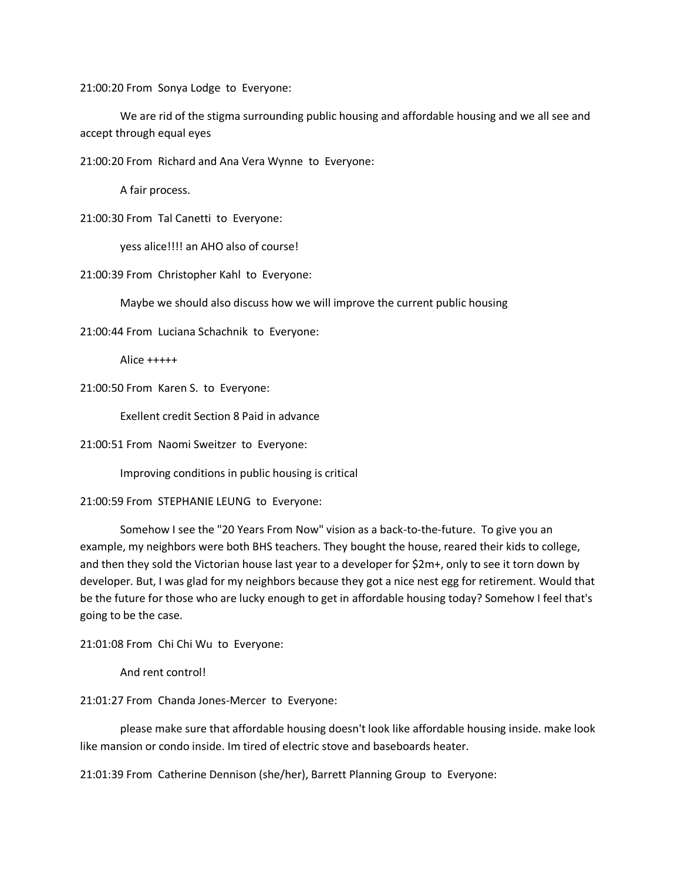21:00:20 From Sonya Lodge to Everyone:

We are rid of the stigma surrounding public housing and affordable housing and we all see and accept through equal eyes

21:00:20 From Richard and Ana Vera Wynne to Everyone:

A fair process.

21:00:30 From Tal Canetti to Everyone:

yess alice!!!! an AHO also of course!

21:00:39 From Christopher Kahl to Everyone:

Maybe we should also discuss how we will improve the current public housing

21:00:44 From Luciana Schachnik to Everyone:

Alice +++++

21:00:50 From Karen S. to Everyone:

Exellent credit Section 8 Paid in advance

21:00:51 From Naomi Sweitzer to Everyone:

Improving conditions in public housing is critical

21:00:59 From STEPHANIE LEUNG to Everyone:

Somehow I see the "20 Years From Now" vision as a back-to-the-future. To give you an example, my neighbors were both BHS teachers. They bought the house, reared their kids to college, and then they sold the Victorian house last year to a developer for \$2m+, only to see it torn down by developer. But, I was glad for my neighbors because they got a nice nest egg for retirement. Would that be the future for those who are lucky enough to get in affordable housing today? Somehow I feel that's going to be the case.

21:01:08 From Chi Chi Wu to Everyone:

And rent control!

21:01:27 From Chanda Jones-Mercer to Everyone:

please make sure that affordable housing doesn't look like affordable housing inside. make look like mansion or condo inside. Im tired of electric stove and baseboards heater.

21:01:39 From Catherine Dennison (she/her), Barrett Planning Group to Everyone: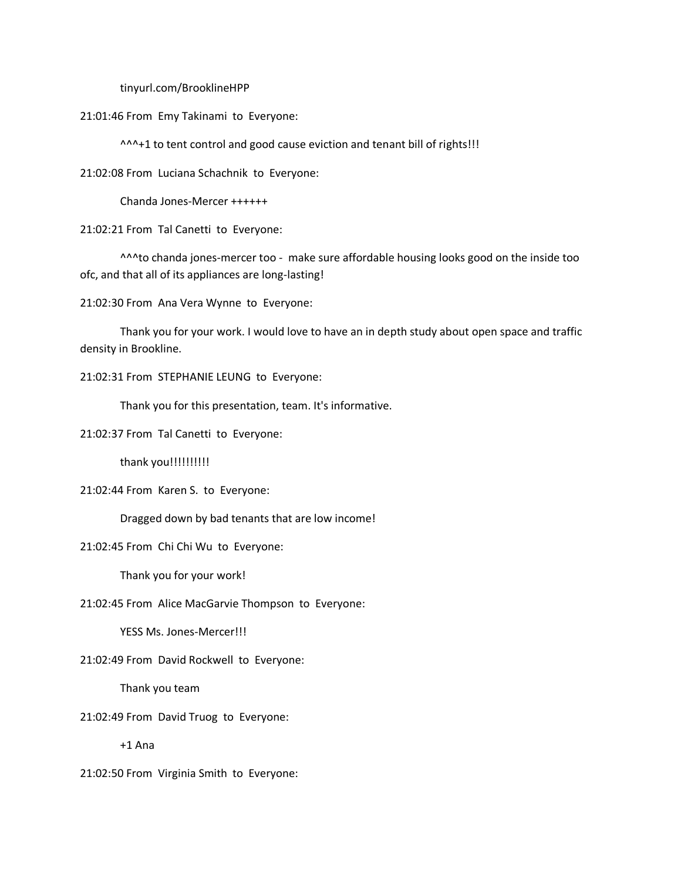tinyurl.com/BrooklineHPP

21:01:46 From Emy Takinami to Everyone:

^^^+1 to tent control and good cause eviction and tenant bill of rights!!!

21:02:08 From Luciana Schachnik to Everyone:

Chanda Jones-Mercer ++++++

21:02:21 From Tal Canetti to Everyone:

^^^to chanda jones-mercer too - make sure affordable housing looks good on the inside too ofc, and that all of its appliances are long-lasting!

21:02:30 From Ana Vera Wynne to Everyone:

Thank you for your work. I would love to have an in depth study about open space and traffic density in Brookline.

21:02:31 From STEPHANIE LEUNG to Everyone:

Thank you for this presentation, team. It's informative.

21:02:37 From Tal Canetti to Everyone:

thank you!!!!!!!!!!

21:02:44 From Karen S. to Everyone:

Dragged down by bad tenants that are low income!

21:02:45 From Chi Chi Wu to Everyone:

Thank you for your work!

21:02:45 From Alice MacGarvie Thompson to Everyone:

YESS Ms. Jones-Mercer!!!

21:02:49 From David Rockwell to Everyone:

Thank you team

21:02:49 From David Truog to Everyone:

+1 Ana

21:02:50 From Virginia Smith to Everyone: